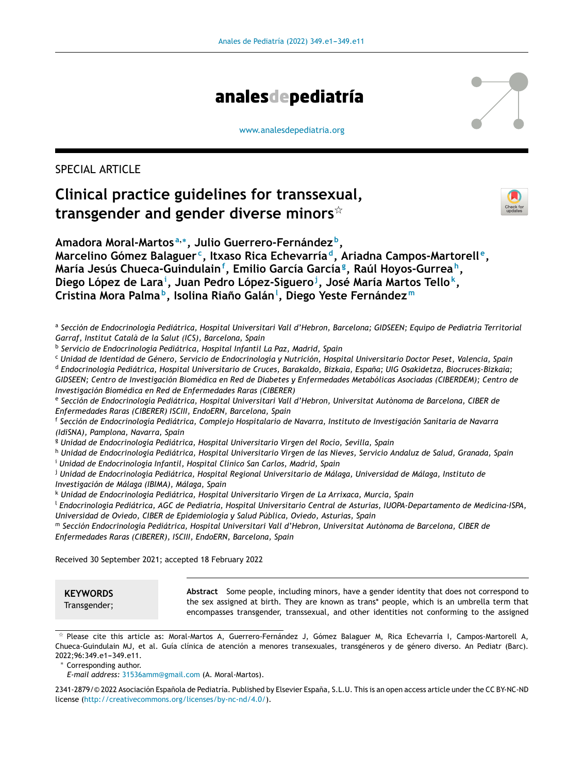

[www.analesdepediatria.org](http://www.analesdepediatria.org)

# SPECIAL ARTICLE

# **Clinical practice guidelines for transsexual, transgender and gender diverse minors**-



**Amadora Moral-Martos <sup>a</sup>**,<sup>∗</sup> **, Julio Guerrero-Fernández <sup>b</sup> , Marcelino Gómez Balaguer <sup>c</sup> , Itxaso Rica Echevarría <sup>d</sup> , Ariadna Campos-Martorell <sup>e</sup> , María Jesús Chueca-Guindulain<sup>f</sup> , Emilio García García<sup>g</sup> , Raúl Hoyos-Gurrea <sup>h</sup> , Diego López de Lara<sup>i</sup> , Juan Pedro López-Siguero<sup>j</sup> , José María Martos Tello<sup>k</sup> , Cristina Mora Palma <sup>b</sup> , Isolina Riano˜ Galán<sup>l</sup> , Diego Yeste Fernández <sup>m</sup>**

- <sup>a</sup> Sección de Endocrinología Pediátrica, Hospital Universitari Vall d'Hebron, Barcelona; GIDSEEN; Equipo de Pediatría Territorial *Garraf, Institut Català de la Salut (ICS), Barcelona, Spain*
- b *Servicio de Endocrinología Pediátrica, Hospital Infantil La Paz, Madrid, Spain*

<sup>c</sup> Unidad de Identidad de Género, Servicio de Endocrinología y Nutrición, Hospital Universitario Doctor Peset, Valencia, Spain <sup>d</sup> *Endocrinología Pediátrica, Hospital Universitario de Cruces, Barakaldo, Bizkaia, Espana; ˜ UIG Osakidetza, Biocruces-Bizkaia;* GIDSEEN; Centro de Investigación Biomédica en Red de Diabetes y Enfermedades Metabólicas Asociadas (CIBERDEM); Centro de *Investigación Biomédica en Red de Enfermedades Raras (CIBERER)*

e *Sección de Endocrinología Pediátrica, Hospital Universitari Vall d'Hebron, Universitat Autònoma de Barcelona, CIBER de Enfermedades Raras (CIBERER) ISCIII, EndoERN, Barcelona, Spain*

f *Sección de Endocrinología Pediátrica, Complejo Hospitalario de Navarra, Instituto de Investigación Sanitaria de Navarra (IdiSNA), Pamplona, Navarra, Spain*

<sup>g</sup> *Unidad de Endocrinología Pediátrica, Hospital Universitario Virgen del Rocío, Sevilla, Spain*

h Unidad de Endocrinología Pediátrica, Hospital Universitario Virgen de las Nieves, Servicio Andaluz de Salud, Granada, Spain <sup>i</sup> *Unidad de Endocrinología Infantil, Hospital Clínico San Carlos, Madrid, Spain*

<sup>j</sup> *Unidad de Endocrinología Pediátrica, Hospital Regional Universitario de Málaga, Universidad de Málaga, Instituto de Investigación de Málaga (IBIMA), Málaga, Spain*

<sup>k</sup> *Unidad de Endocrinología Pediátrica, Hospital Universitario Virgen de La Arrixaca, Murcia, Spain*

<sup>l</sup> *Endocrinología Pediátrica, AGC de Pediatría, Hospital Universitario Central de Asturias, IUOPA-Departamento de Medicina-ISPA, Universidad de Oviedo, CIBER de Epidemiología y Salud Pública, Oviedo, Asturias, Spain*

<sup>m</sup> *Sección Endocrinología Pediátrica, Hospital Universitari Vall d'Hebron, Universitat Autònoma de Barcelona, CIBER de Enfermedades Raras (CIBERER), ISCIII, EndoERN, Barcelona, Spain*

Received 30 September 2021; accepted 18 February 2022

## **KEYWORDS**

Transgender;

**Abstract** Some people, including minors, have a gender identity that does not correspond to the sex assigned at birth. They are known as trans\* people, which is an umbrella term that encompasses transgender, transsexual, and other identities not conforming to the assigned

2341-2879/© 2022 Asociación Española de Pediatría. Published by Elsevier España, S.L.U. This is an open access article under the CC BY-NC-ND license (<http://creativecommons.org/licenses/by-nc-nd/4.0/>).

<sup>-</sup> Please cite this article as: Moral-Martos A, Guerrero-Fernández J, Gómez Balaguer M, Rica Echevarría I, Campos-Martorell A, Chueca-Guindulain MJ, et al. Guía clínica de atención a menores transexuales, transgéneros y de género diverso. An Pediatr (Barc). 2022;96:349.e1-349.e11.

<sup>∗</sup> Corresponding author.

*E-mail address:* [31536amm@gmail.com](mailto:31536amm@gmail.com) (A. Moral-Martos).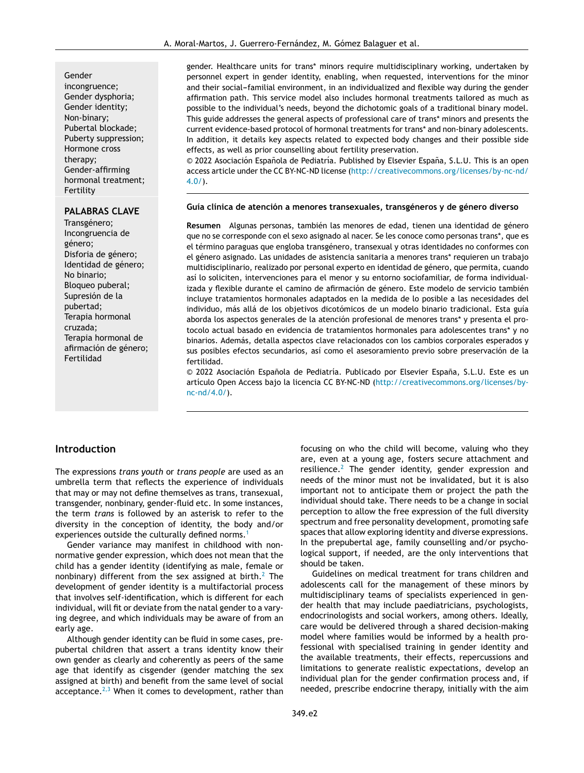incongruence; Gender dysphoria; Gender identity; Non-binary; Pubertal blockade; Puberty suppression; Hormone cross therapy; Gender-affirming hormonal treatment; Fertility

## **PALABRAS CLAVE**

Transgénero; Incongruencia de género; Disforia de género; Identidad de género; No binario; Bloqueo puberal; Supresión de la pubertad; Terapia hormonal cruzada; Terapia hormonal de afirmación de género; Fertilidad

gender. Healthcare units for trans\* minors require multidisciplinary working, undertaken by personnel expert in gender identity, enabling, when requested, interventions for the minor and their social-familial environment, in an individualized and flexible way during the gender affirmation path. This service model also includes hormonal treatments tailored as much as possible to the individual's needs, beyond the dichotomic goals of a traditional binary model. This guide addresses the general aspects of professional care of trans\* minors and presents the current evidence-based protocol of hormonal treatments for trans\* and non-binary adolescents. In addition, it details key aspects related to expected body changes and their possible side effects, as well as prior counselling about fertility preservation.

© 2022 Asociación Española de Pediatría. Published by Elsevier España, S.L.U. This is an open access article under the CC BY-NC-ND license ([http://creativecommons.org/licenses/by-nc-nd/](http://creativecommons.org/licenses/by-nc-nd/4.0/)  $4.0/$ ).

#### **Guía clínica de atención a menores transexuales, transgéneros y de género diverso**

**Resumen** Algunas personas, también las menores de edad, tienen una identidad de género que no se corresponde con el sexo asignado al nacer. Se les conoce como personas trans\*, que es el término paraguas que engloba transgénero, transexual y otras identidades no conformes con el género asignado. Las unidades de asistencia sanitaria a menores trans\* requieren un trabajo multidisciplinario, realizado por personal experto en identidad de género, que permita, cuando así lo soliciten, intervenciones para el menor y su entorno sociofamiliar, de forma individualizada y flexible durante el camino de afirmación de género. Este modelo de servicio también incluye tratamientos hormonales adaptados en la medida de lo posible a las necesidades del individuo, más allá de los objetivos dicotómicos de un modelo binario tradicional. Esta guía aborda los aspectos generales de la atención profesional de menores trans\* y presenta el protocolo actual basado en evidencia de tratamientos hormonales para adolescentes trans\* y no binarios. Además, detalla aspectos clave relacionados con los cambios corporales esperados y sus posibles efectos secundarios, así como el asesoramiento previo sobre preservación de la fertilidad.

© 2022 Asociación Española de Pediatría. Publicado por Elsevier España, S.L.U. Este es un artículo Open Access bajo la licencia CC BY-NC-ND [\(http://creativecommons.org/licenses/by](http://creativecommons.org/licenses/by-nc-nd/4.0/)[nc-nd/4.0/](http://creativecommons.org/licenses/by-nc-nd/4.0/)).

## **Introduction**

The expressions *trans youth* or *trans people* are used as an umbrella term that reflects the experience of individuals that may or may not define themselves as trans, transexual, transgender, nonbinary, gender-fluid etc. In some instances, the term *trans* is followed by an asterisk to refer to the diversity in the conception of identity, the body and/or experiences outside the culturally defined norms.<sup>[1](#page-9-0)</sup>

Gender variance may manifest in childhood with nonnormative gender expression, which does not mean that the child has a gender identity (identifying as male, female or nonbinary) different from the sex assigned at birth. $2$  The development of gender identity is a multifactorial process that involves self-identification, which is different for each individual, will fit or deviate from the natal gender to a varying degree, and which individuals may be aware of from an early age.

Although gender identity can be fluid in some cases, prepubertal children that assert a trans identity know their own gender as clearly and coherently as peers of the same age that identify as cisgender (gender matching the sex assigned at birth) and benefit from the same level of social acceptance.<sup>[2,3](#page-9-0)</sup> When it comes to development, rather than

focusing on who the child will become, valuing who they are, even at a young age, fosters secure attachment and resilience.<sup>[2](#page-9-0)</sup> The gender identity, gender expression and needs of the minor must not be invalidated, but it is also important not to anticipate them or project the path the individual should take. There needs to be a change in social perception to allow the free expression of the full diversity spectrum and free personality development, promoting safe spaces that allow exploring identity and diverse expressions. In the prepubertal age, family counselling and/or psychological support, if needed, are the only interventions that should be taken.

Guidelines on medical treatment for trans children and adolescents call for the management of these minors by multidisciplinary teams of specialists experienced in gender health that may include paediatricians, psychologists, endocrinologists and social workers, among others. Ideally, care would be delivered through a shared decision-making model where families would be informed by a health professional with specialised training in gender identity and the available treatments, their effects, repercussions and limitations to generate realistic expectations, develop an individual plan for the gender confirmation process and, if needed, prescribe endocrine therapy, initially with the aim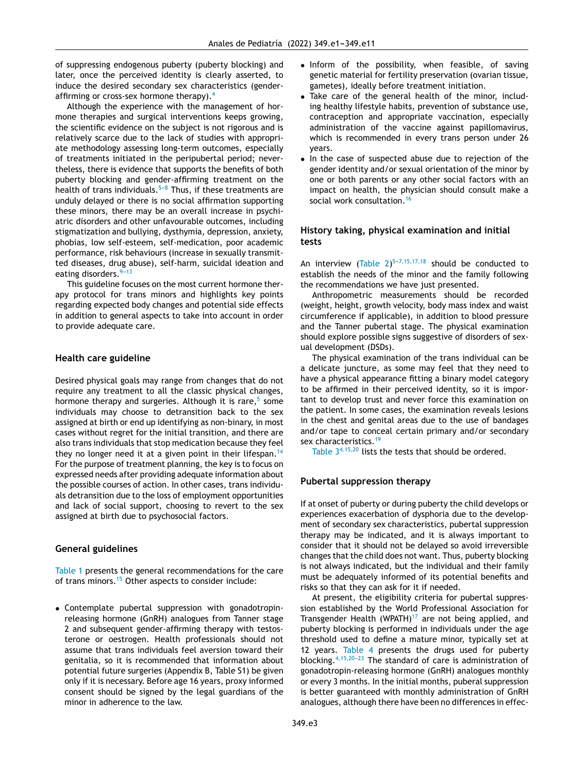of suppressing endogenous puberty (puberty blocking) and later, once the perceived identity is clearly asserted, to induce the desired secondary sex characteristics (gender-affirming or cross-sex hormone therapy).<sup>[4](#page-9-0)</sup>

Although the experience with the management of hormone therapies and surgical interventions keeps growing, the scientific evidence on the subject is not rigorous and is relatively scarce due to the lack of studies with appropriate methodology assessing long-term outcomes, especially of treatments initiated in the peripubertal period; nevertheless, there is evidence that supports the benefits of both puberty blocking and gender-affirming treatment on the health of trans individuals. $5-8$  Thus, if these treatments are unduly delayed or there is no social affirmation supporting these minors, there may be an overall increase in psychiatric disorders and other unfavourable outcomes, including stigmatization and bullying, dysthymia, depression, anxiety, phobias, low self-esteem, self-medication, poor academic performance, risk behaviours (increase in sexually transmitted diseases, drug abuse), self-harm, suicidal ideation and eating disorders.<sup>9-13</sup>

This guideline focuses on the most current hormone therapy protocol for trans minors and highlights key points regarding expected body changes and potential side effects in addition to general aspects to take into account in order to provide adequate care.

## **Health care guideline**

Desired physical goals may range from changes that do not require any treatment to all the classic physical changes, hormone therapy and surgeries. Although it is rare,<sup>[5](#page-9-0)</sup> some individuals may choose to detransition back to the sex assigned at birth or end up identifying as non-binary, in most cases without regret for the initial transition, and there are also trans individuals that stop medication because they feel they no longer need it at a given point in their lifespan.<sup>[14](#page-9-0)</sup> For the purpose of treatment planning, the key is to focus on expressed needs after providing adequate information about the possible courses of action. In other cases, trans individuals detransition due to the loss of employment opportunities and lack of social support, choosing to revert to the sex assigned at birth due to psychosocial factors.

## **General guidelines**

[Table](#page-3-0) 1 presents the general recommendations for the care of trans minors.<sup>[15](#page-9-0)</sup> Other aspects to consider include:

• Contemplate pubertal suppression with gonadotropinreleasing hormone (GnRH) analogues from Tanner stage 2 and subsequent gender-affirming therapy with testosterone or oestrogen. Health professionals should not assume that trans individuals feel aversion toward their genitalia, so it is recommended that information about potential future surgeries (Appendix B, Table S1) be given only if it is necessary. Before age 16 years, proxy informed consent should be signed by the legal guardians of the minor in adherence to the law.

- Inform of the possibility, when feasible, of saving genetic material for fertility preservation (ovarian tissue, gametes), ideally before treatment initiation.
- Take care of the general health of the minor, including healthy lifestyle habits, prevention of substance use, contraception and appropriate vaccination, especially administration of the vaccine against papillomavirus, which is recommended in every trans person under 26 years.
- In the case of suspected abuse due to rejection of the gender identity and/or sexual orientation of the minor by one or both parents or any other social factors with an impact on health, the physician should consult make a social work consultation.<sup>[16](#page-9-0)</sup>

## **History taking, physical examination and initial tests**

An interview [\(Table](#page-4-0)  $2)^{5-7,15,17,18}$  should be conducted to establish the needs of the minor and the family following the recommendations we have just presented.

Anthropometric measurements should be recorded (weight, height, growth velocity, body mass index and waist circumference if applicable), in addition to blood pressure and the Tanner pubertal stage. The physical examination should explore possible signs suggestive of disorders of sexual development (DSDs).

The physical examination of the trans individual can be a delicate juncture, as some may feel that they need to have a physical appearance fitting a binary model category to be affirmed in their perceived identity, so it is important to develop trust and never force this examination on the patient. In some cases, the examination reveals lesions in the chest and genital areas due to the use of bandages and/or tape to conceal certain primary and/or secondary sex characteristics.<sup>[19](#page-9-0)</sup>

[Table](#page-4-0)  $3^{4,15,20}$  $3^{4,15,20}$  $3^{4,15,20}$  lists the tests that should be ordered.

## **Pubertal suppression therapy**

If at onset of puberty or during puberty the child develops or experiences exacerbation of dysphoria due to the development of secondary sex characteristics, pubertal suppression therapy may be indicated, and it is always important to consider that it should not be delayed so avoid irreversible changes that the child does not want. Thus, puberty blocking is not always indicated, but the individual and their family must be adequately informed of its potential benefits and risks so that they can ask for it if needed.

At present, the eligibility criteria for pubertal suppression established by the World Professional Association for Transgender Health (WPATH) $17$  are not being applied, and puberty blocking is performed in individuals under the age threshold used to define a mature minor, typically set at 12 years. [Table](#page-5-0) 4 presents the drugs used for puberty blocking.  $4,15,20-23$  The standard of care is administration of gonadotropin-releasing hormone (GnRH) analogues monthly or every 3 months. In the initial months, puberal suppression is better guaranteed with monthly administration of GnRH analogues, although there have been no differences in effec-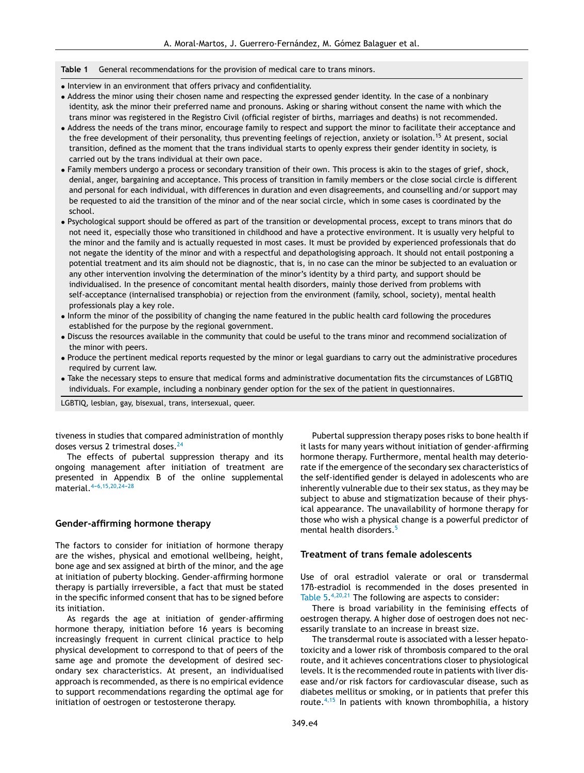#### <span id="page-3-0"></span>**Table 1** General recommendations for the provision of medical care to trans minors.

- Interview in an environment that offers privacy and confidentiality.
- Address the minor using their chosen name and respecting the expressed gender identity. In the case of a nonbinary identity, ask the minor their preferred name and pronouns. Asking or sharing without consent the name with which the trans minor was registered in the Registro Civil (official register of births, marriages and deaths) is not recommended.
- Address the needs of the trans minor, encourage family to respect and support the minor to facilitate their acceptance and the free development of their personality, thus preventing feelings of rejection, anxiety or isolation.<sup>15</sup> At present, social transition, defined as the moment that the trans individual starts to openly express their gender identity in society, is carried out by the trans individual at their own pace.
- Family members undergo a process or secondary transition of their own. This process is akin to the stages of grief, shock, denial, anger, bargaining and acceptance. This process of transition in family members or the close social circle is different and personal for each individual, with differences in duration and even disagreements, and counselling and/or support may be requested to aid the transition of the minor and of the near social circle, which in some cases is coordinated by the school.
- Psychological support should be offered as part of the transition or developmental process, except to trans minors that do not need it, especially those who transitioned in childhood and have a protective environment. It is usually very helpful to the minor and the family and is actually requested in most cases. It must be provided by experienced professionals that do not negate the identity of the minor and with a respectful and depathologising approach. It should not entail postponing a potential treatment and its aim should not be diagnostic, that is, in no case can the minor be subjected to an evaluation or any other intervention involving the determination of the minor's identity by a third party, and support should be individualised. In the presence of concomitant mental health disorders, mainly those derived from problems with self-acceptance (internalised transphobia) or rejection from the environment (family, school, society), mental health professionals play a key role.
- Inform the minor of the possibility of changing the name featured in the public health card following the procedures established for the purpose by the regional government.
- Discuss the resources available in the community that could be useful to the trans minor and recommend socialization of the minor with peers.
- Produce the pertinent medical reports requested by the minor or legal guardians to carry out the administrative procedures required by current law.
- Take the necessary steps to ensure that medical forms and administrative documentation fits the circumstances of LGBTIQ individuals. For example, including a nonbinary gender option for the sex of the patient in questionnaires.

LGBTIQ, lesbian, gay, bisexual, trans, intersexual, queer.

tiveness in studies that compared administration of monthly doses versus 2 trimestral doses.<sup>[24](#page-10-0)</sup>

The effects of pubertal suppression therapy and its ongoing management after initiation of treatment are presented in Appendix B of the online supplemental material.  $4-6,15,20,24-28$ 

## **Gender-affirming hormone therapy**

The factors to consider for initiation of hormone therapy are the wishes, physical and emotional wellbeing, height, bone age and sex assigned at birth of the minor, and the age at initiation of puberty blocking. Gender-affirming hormone therapy is partially irreversible, a fact that must be stated in the specific informed consent that has to be signed before its initiation.

As regards the age at initiation of gender-affirming hormone therapy, initiation before 16 years is becoming increasingly frequent in current clinical practice to help physical development to correspond to that of peers of the same age and promote the development of desired secondary sex characteristics. At present, an individualised approach is recommended, as there is no empirical evidence to support recommendations regarding the optimal age for initiation of oestrogen or testosterone therapy.

Pubertal suppression therapy poses risks to bone health if it lasts for many years without initiation of gender-affirming hormone therapy. Furthermore, mental health may deteriorate if the emergence of the secondary sex characteristics of the self-identified gender is delayed in adolescents who are inherently vulnerable due to their sex status, as they may be subject to abuse and stigmatization because of their physical appearance. The unavailability of hormone therapy for those who wish a physical change is a powerful predictor of mental health disorders.<sup>[5](#page-9-0)</sup>

## **Treatment of trans female adolescents**

Use of oral estradiol valerate or oral or transdermal 17ß-estradiol is recommended in the doses presented in [Table](#page-6-0) 5.<sup>[4,20,21](#page-9-0)</sup> The following are aspects to consider:

There is broad variability in the feminising effects of oestrogen therapy. A higher dose of oestrogen does not necessarily translate to an increase in breast size.

The transdermal route is associated with a lesser hepatotoxicity and a lower risk of thrombosis compared to the oral route, and it achieves concentrations closer to physiological levels. It is the recommended route in patients with liver disease and/or risk factors for cardiovascular disease, such as diabetes mellitus or smoking, or in patients that prefer this route.[4,15](#page-9-0) In patients with known thrombophilia, a history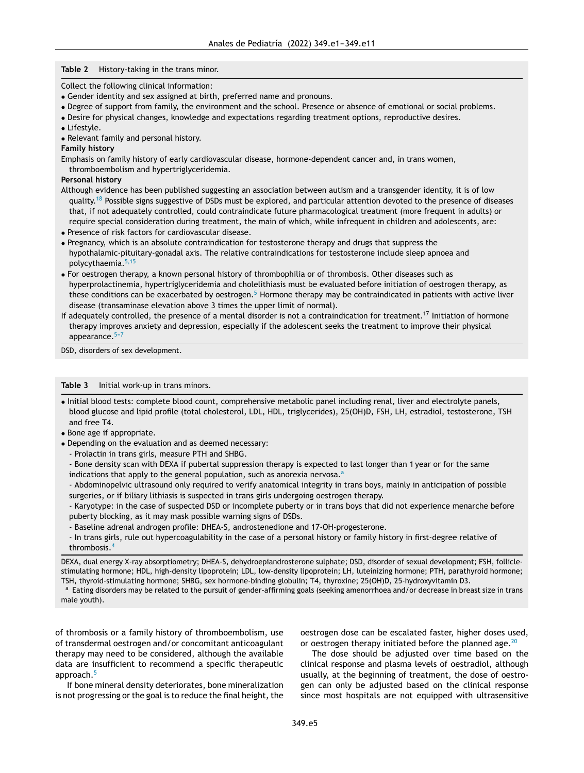#### <span id="page-4-0"></span>**Table 2** History-taking in the trans minor.

Collect the following clinical information:

- Gender identity and sex assigned at birth, preferred name and pronouns.
- Degree of support from family, the environment and the school. Presence or absence of emotional or social problems.
- Desire for physical changes, knowledge and expectations regarding treatment options, reproductive desires.
- Lifestyle.
- Relevant family and personal history.

#### **Family history**

Emphasis on family history of early cardiovascular disease, hormone-dependent cancer and, in trans women, thromboembolism and hypertriglyceridemia.

#### **Personal history**

- Although evidence has been published suggesting an association between autism and a transgender identity, it is of low quality.<sup>[18](#page-9-0)</sup> Possible signs suggestive of DSDs must be explored, and particular attention devoted to the presence of diseases that, if not adequately controlled, could contraindicate future pharmacological treatment (more frequent in adults) or require special consideration during treatment, the main of which, while infrequent in children and adolescents, are:
- Presence of risk factors for cardiovascular disease.
- Pregnancy, which is an absolute contraindication for testosterone therapy and drugs that suppress the hypothalamic-pituitary-gonadal axis. The relative contraindications for testosterone include sleep apnoea and polycythaemia.<sup>[5,15](#page-9-0)</sup>
- For oestrogen therapy, a known personal history of thrombophilia or of thrombosis. Other diseases such as hyperprolactinemia, hypertriglyceridemia and cholelithiasis must be evaluated before initiation of oestrogen therapy, as these conditions can be exacerbated by oestrogen.<sup>5</sup> [H](#page-9-0)ormone therapy may be contraindicated in patients with active liver disease (transaminase elevation above 3 times the upper limit of normal).
- If adequately controlled, the presence of a mental disorder is not a contraindication for treatment.<sup>17</sup> Initiation of hormone therapy improves anxiety and depression, especially if the adolescent seeks the treatment to improve their physical appearance. $5-7$

DSD, disorders of sex development.

#### **Table 3** Initial work-up in trans minors.

- Initial blood tests: complete blood count, comprehensive metabolic panel including renal, liver and electrolyte panels, blood glucose and lipid profile (total cholesterol, LDL, HDL, triglycerides), 25(OH)D, FSH, LH, estradiol, testosterone, TSH and free T4.
- Bone age if appropriate.
- Depending on the evaluation and as deemed necessary:
	- Prolactin in trans girls, measure PTH and SHBG.
	- Bone density scan with DEXA if pubertal suppression therapy is expected to last longer than 1 year or for the same indications that apply to the general population, such as anorexia nervosa. $a$

- Abdominopelvic ultrasound only required to verify anatomical integrity in trans boys, mainly in anticipation of possible surgeries, or if biliary lithiasis is suspected in trans girls undergoing oestrogen therapy.

- Karyotype: in the case of suspected DSD or incomplete puberty or in trans boys that did not experience menarche before puberty blocking, as it may mask possible warning signs of DSDs.

- Baseline adrenal androgen profile: DHEA-S, androstenedione and 17-OH-progesterone.
- In trans girls, rule out hypercoagulability in the case of a personal history or family history in first-degree relative of thrombosis.[4](#page-9-0)

DEXA, dual energy X-ray absorptiometry; DHEA-S, dehydroepiandrosterone sulphate; DSD, disorder of sexual development; FSH, folliclestimulating hormone; HDL, high-density lipoprotein; LDL, low-density lipoprotein; LH, luteinizing hormone; PTH, parathyroid hormone; TSH, thyroid-stimulating hormone; SHBG, sex hormone-binding globulin; T4, thyroxine; 25(OH)D, 25-hydroxyvitamin D3.

<sup>a</sup> Eating disorders may be related to the pursuit of gender-affirming goals (seeking amenorrhoea and/or decrease in breast size in trans male youth).

of thrombosis or a family history of thromboembolism, use of transdermal oestrogen and/or concomitant anticoagulant therapy may need to be considered, although the available data are insufficient to recommend a specific therapeutic approach.<sup>[5](#page-9-0)</sup>

If bone mineral density deteriorates, bone mineralization is not progressing or the goal is to reduce the final height, the oestrogen dose can be escalated faster, higher doses used, or oestrogen therapy initiated before the planned age.  $20$ 

The dose should be adjusted over time based on the clinical response and plasma levels of oestradiol, although usually, at the beginning of treatment, the dose of oestrogen can only be adjusted based on the clinical response since most hospitals are not equipped with ultrasensitive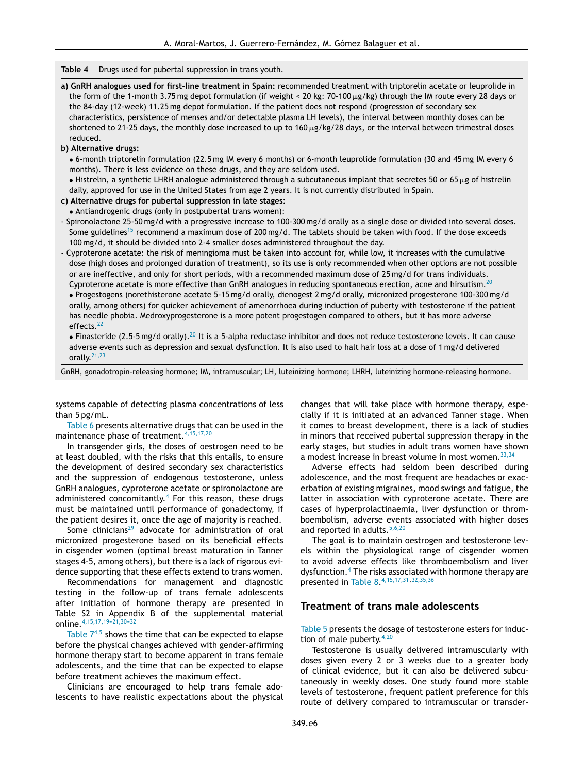<span id="page-5-0"></span>**Table 4** Drugs used for pubertal suppression in trans youth.

**a) GnRH analogues used for first-line treatment in Spain:** recommended treatment with triptorelin acetate or leuprolide in the form of the 1-month 3.75 mg depot formulation (if weight < 20 kg: 70-100 µg/kg) through the IM route every 28 days or the 84-day (12-week) 11.25 mg depot formulation. If the patient does not respond (progression of secondary sex characteristics, persistence of menses and/or detectable plasma LH levels), the interval between monthly doses can be shortened to 21-25 days, the monthly dose increased to up to 160  $\mu$ g/kg/28 days, or the interval between trimestral doses reduced.

#### **b) Alternative drugs:**

• 6-month triptorelin formulation (22.5 mg IM every 6 months) or 6-month leuprolide formulation (30 and 45 mg IM every 6 months). There is less evidence on these drugs, and they are seldom used.

 $\bullet$  Histrelin, a synthetic LHRH analogue administered through a subcutaneous implant that secretes 50 or 65  $\mu$ g of histrelin daily, approved for use in the United States from age 2 years. It is not currently distributed in Spain.

#### **c) Alternative drugs for pubertal suppression in late stages:**

• Antiandrogenic drugs (only in postpubertal trans women):

- Spironolactone 25-50 mg/d with a progressive increase to 100-300 mg/d orally as a single dose or divided into several doses. Some guidelines<sup>[15](#page-9-0)</sup> recommend a maximum dose of 200 mg/d. The tablets should be taken with food. If the dose exceeds 100 mg/d, it should be divided into 2-4 smaller doses administered throughout the day.

- Cyproterone acetate: the risk of meningioma must be taken into account for, while low, it increases with the cumulative dose (high doses and prolonged duration of treatment), so its use is only recommended when other options are not possible or are ineffective, and only for short periods, with a recommended maximum dose of 25 mg/d for trans individuals. Cyproterone acetate is more effective than GnRH analogues in reducing spontaneous erection, acne and hirsutism.<sup>[20](#page-9-0)</sup> • Progestogens (norethisterone acetate 5-15 mg/d orally, dienogest 2 mg/d orally, micronized progesterone 100-300 mg/d orally, among others) for quicker achievement of amenorrhoea during induction of puberty with testosterone if the patient has needle phobia. Medroxyprogesterone is a more potent progestogen compared to others, but it has more adverse effects.<sup>[22](#page-10-0)</sup>

• Finasteride (2.5-5 mg/d orally).<sup>[20](#page-9-0)</sup> It is a 5-alpha reductase inhibitor and does not reduce testosterone levels. It can cause adverse events such as depression and sexual dysfunction. It is also used to halt hair loss at a dose of 1 mg/d delivered orally.<sup>[21,23](#page-9-0)</sup>

GnRH, gonadotropin-releasing hormone; IM, intramuscular; LH, luteinizing hormone; LHRH, luteinizing hormone-releasing hormone.

systems capable of detecting plasma concentrations of less than 5 pg/mL.

[Table](#page-7-0) 6 presents alternative drugs that can be used in the maintenance phase of treatment.[4,15,17,20](#page-9-0)

In transgender girls, the doses of oestrogen need to be at least doubled, with the risks that this entails, to ensure the development of desired secondary sex characteristics and the suppression of endogenous testosterone, unless GnRH analogues, cyproterone acetate or spironolactone are administered concomitantly.<sup>[4](#page-9-0)</sup> For this reason, these drugs must be maintained until performance of gonadectomy, if the patient desires it, once the age of majority is reached.

Some clinicians<sup>[29](#page-10-0)</sup> advocate for administration of oral micronized progesterone based on its beneficial effects in cisgender women (optimal breast maturation in Tanner stages 4-5, among others), but there is a lack of rigorous evidence supporting that these effects extend to trans women.

Recommendations for management and diagnostic testing in the follow-up of trans female adolescents after initiation of hormone therapy are presented in Table S2 in Appendix B of the supplemental material online.<sup>4,15,17,19-21,30-32</sup>

[Table](#page-7-0)  $7^{4,5}$  $7^{4,5}$  $7^{4,5}$  shows the time that can be expected to elapse before the physical changes achieved with gender-affirming hormone therapy start to become apparent in trans female adolescents, and the time that can be expected to elapse before treatment achieves the maximum effect.

Clinicians are encouraged to help trans female adolescents to have realistic expectations about the physical changes that will take place with hormone therapy, especially if it is initiated at an advanced Tanner stage. When it comes to breast development, there is a lack of studies in minors that received pubertal suppression therapy in the early stages, but studies in adult trans women have shown a modest increase in breast volume in most women.  $33,34$ 

Adverse effects had seldom been described during adolescence, and the most frequent are headaches or exacerbation of existing migraines, mood swings and fatigue, the latter in association with cyproterone acetate. There are cases of hyperprolactinaemia, liver dysfunction or thromboembolism, adverse events associated with higher doses and reported in adults.<sup>[5,6,20](#page-9-0)</sup>

The goal is to maintain oestrogen and testosterone levels within the physiological range of cisgender women to avoid adverse effects like thromboembolism and liver dysfunction.<sup>4</sup> [T](#page-9-0)he risks associated with hormone therapy are presented in [Table](#page-8-0) 8. [4,15,17,31,](#page-9-0)[32,35,36](#page-10-0)

## **Treatment of trans male adolescents**

[Table](#page-6-0) 5 presents the dosage of testosterone esters for induction of male puberty.  $4,20$ 

Testosterone is usually delivered intramuscularly with doses given every 2 or 3 weeks due to a greater body of clinical evidence, but it can also be delivered subcutaneously in weekly doses. One study found more stable levels of testosterone, frequent patient preference for this route of delivery compared to intramuscular or transder-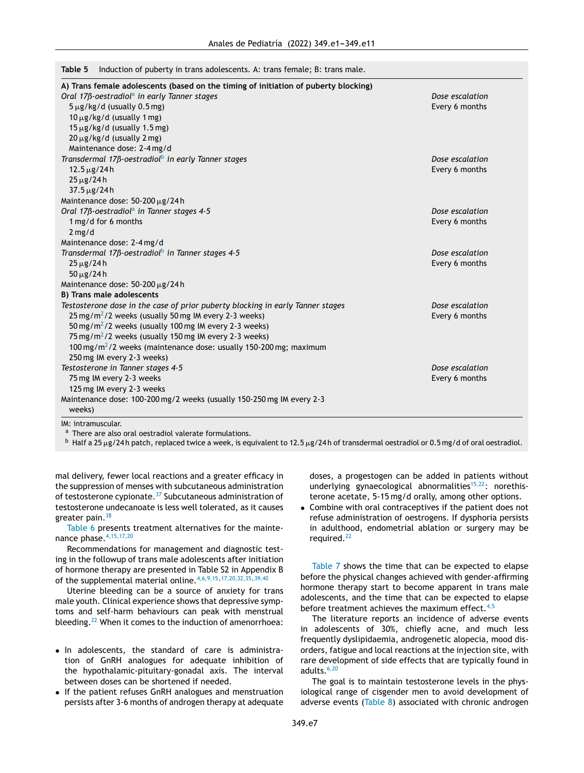<span id="page-6-0"></span>

|  |  |  |  |  | Table 5 Induction of puberty in trans adolescents. A: trans female; B: trans male. |  |
|--|--|--|--|--|------------------------------------------------------------------------------------|--|
|--|--|--|--|--|------------------------------------------------------------------------------------|--|

| A) Trans female adolescents (based on the timing of initiation of puberty blocking) |                 |
|-------------------------------------------------------------------------------------|-----------------|
| Oral 17 $\beta$ -oestradiol <sup>a</sup> in early Tanner stages                     | Dose escalation |
| $5 \mu g/kg/d$ (usually 0.5 mg)                                                     | Every 6 months  |
| $10 \mu g/kg/d$ (usually 1 mg)                                                      |                 |
| $15 \mu g/kg/d$ (usually 1.5 mg)                                                    |                 |
| $20 \mu g/kg/d$ (usually 2 mg)                                                      |                 |
| Maintenance dose: 2-4 mg/d                                                          |                 |
| Transdermal 17ß-oestradiol <sup>b</sup> in early Tanner stages                      | Dose escalation |
| $12.5 \,\mu g/24 h$                                                                 | Every 6 months  |
| $25 \mu g / 24 h$                                                                   |                 |
| $37.5 \,\mu g/24 h$                                                                 |                 |
| Maintenance dose: 50-200 µg/24 h                                                    |                 |
| Oral 17ß-oestradiol <sup>a</sup> in Tanner stages 4-5                               | Dose escalation |
| 1 mg/d for 6 months                                                                 | Every 6 months  |
| $2$ mg/d                                                                            |                 |
| Maintenance dose: 2-4 mg/d                                                          |                 |
| Transdermal 17ß-oestradiol <sup>b</sup> in Tanner stages 4-5                        | Dose escalation |
| $25 \mu g / 24 h$                                                                   | Every 6 months  |
| $50 \mu g / 24 h$                                                                   |                 |
| Maintenance dose: 50-200 µg/24 h                                                    |                 |
| B) Trans male adolescents                                                           |                 |
| Testosterone dose in the case of prior puberty blocking in early Tanner stages      | Dose escalation |
| $25 \,\mathrm{mg/m^2/2}$ weeks (usually 50 mg IM every 2-3 weeks)                   | Every 6 months  |
| 50 mg/m <sup>2</sup> /2 weeks (usually 100 mg IM every 2-3 weeks)                   |                 |
| 75 mg/m <sup>2</sup> /2 weeks (usually 150 mg IM every 2-3 weeks)                   |                 |
| 100 mg/m <sup>2</sup> /2 weeks (maintenance dose: usually 150-200 mg; maximum       |                 |
| 250 mg IM every 2-3 weeks)                                                          |                 |
| Testosterone in Tanner stages 4-5                                                   | Dose escalation |
| 75 mg IM every 2-3 weeks                                                            | Every 6 months  |
| 125 mg IM every 2-3 weeks                                                           |                 |
| Maintenance dose: 100-200 mg/2 weeks (usually 150-250 mg IM every 2-3<br>weeks)     |                 |
| IM: intramuscular.                                                                  |                 |

a There are also oral oestradiol valerate formulations.

 $^{\rm b}$  Half a 25 µg/24h patch, replaced twice a week, is equivalent to 12.5 µg/24h of transdermal oestradiol or 0.5 mg/d of oral oestradiol.

mal delivery, fewer local reactions and a greater efficacy in the suppression of menses with subcutaneous administration of testosterone cypionate.[37](#page-10-0) Subcutaneous administration of testosterone undecanoate is less well tolerated, as it causes greater pain.  $38$ 

[Table](#page-7-0) 6 presents treatment alternatives for the maintenance phase.[4,15,17,20](#page-9-0)

Recommendations for management and diagnostic testing in the followup of trans male adolescents after initiation of hormone therapy are presented in Table S2 in Appendix B of the supplemental material online.[4,6,9,15,17,20,32,35,](#page-9-0)[39,40](#page-10-0)

Uterine bleeding can be a source of anxiety for trans male youth. Clinical experience shows that depressive symptoms and self-harm behaviours can peak with menstrual bleeding.<sup>[22](#page-10-0)</sup> When it comes to the induction of amenorrhoea:

- In adolescents, the standard of care is administration of GnRH analogues for adequate inhibition of the hypothalamic-pituitary-gonadal axis. The interval between doses can be shortened if needed.
- If the patient refuses GnRH analogues and menstruation persists after 3-6 months of androgen therapy at adequate

doses, a progestogen can be added in patients without underlying gynaecological abnormalities $15,22$ : norethisterone acetate, 5-15 mg/d orally, among other options.

• Combine with oral contraceptives if the patient does not refuse administration of oestrogens. If dysphoria persists in adulthood, endometrial ablation or surgery may be required.[22](#page-10-0)

[Table](#page-7-0) 7 shows the time that can be expected to elapse before the physical changes achieved with gender-affirming hormone therapy start to become apparent in trans male adolescents, and the time that can be expected to elapse before treatment achieves the maximum effect. $4,5$ 

The literature reports an incidence of adverse events in adolescents of 30%, chiefly acne, and much less frequently dyslipidaemia, androgenetic alopecia, mood disorders, fatigue and local reactions at the injection site, with rare development of side effects that are typically found in adults. $6,20$ 

The goal is to maintain testosterone levels in the physiological range of cisgender men to avoid development of adverse events ([Table](#page-8-0) 8) associated with chronic androgen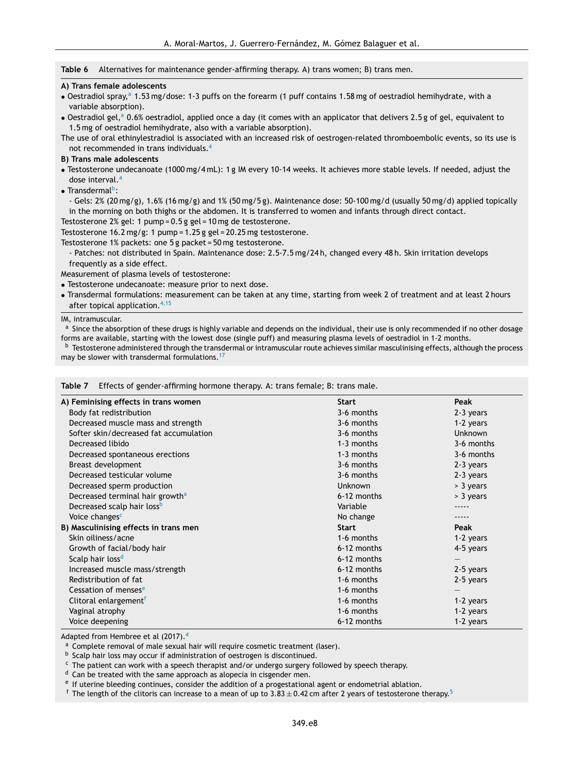#### <span id="page-7-0"></span>**Table 6** Alternatives for maintenance gender-affirming therapy. A) trans women; B) trans men.

#### **A) Trans female adolescents**

- Oestradiol spray,<sup>a</sup> 1.53 mg/dose: 1-3 puffs on the forearm (1 puff contains 1.58 mg of oestradiol hemihydrate, with a variable absorption).
- Oestradiol gel,<sup>a</sup> 0.6% oestradiol, applied once a day (it comes with an applicator that delivers 2.5 g of gel, equivalent to 1.5 mg of oestradiol hemihydrate, also with a variable absorption).

The use of oral ethinylestradiol is associated with an increased risk of oestrogen-related thromboembolic events, so its use is not recommended in trans individuals.[4](#page-9-0)

## **B) Trans male adolescents**

- Testosterone undecanoate (1000 mg/4 mL): 1 g IM every 10-14 weeks. It achieves more stable levels. If needed, adjust the dose interval.<sup>[4](#page-9-0)</sup>
- Transdermal<sup>b</sup>:

- Gels: 2% (20 mg/g), 1.6% (16 mg/g) and 1% (50 mg/5 g). Maintenance dose: 50-100 mg/d (usually 50 mg/d) applied topically in the morning on both thighs or the abdomen. It is transferred to women and infants through direct contact.

Testosterone 2% gel: 1 pump = 0.5 g gel = 10 mg de testosterone.

Testosterone 16.2 mg/g: 1 pump = 1.25 g gel = 20.25 mg testosterone.

Testosterone 1% packets: one 5 g packet = 50 mg testosterone.

- Patches: not distributed in Spain. Maintenance dose: 2.5-7.5 mg/24 h, changed every 48 h. Skin irritation develops frequently as a side effect.

Measurement of plasma levels of testosterone:

• Testosterone undecanoate: measure prior to next dose.

• Transdermal formulations: measurement can be taken at any time, starting from week 2 of treatment and at least 2 hours after topical application.[4,15](#page-9-0)

IM, intramuscular.

<sup>a</sup> Since the absorption of these drugs is highly variable and depends on the individual, their use is only recommended if no other dosage forms are available, starting with the lowest dose (single puff) and measuring plasma levels of oestradiol in 1-2 months.

<sup>b</sup> Testosterone administered through the transdermal or intramuscular route achieves similar masculinising effects, although the process may be slower with transdermal formulations.<sup>[17](#page-9-0)</sup>

| Table 7 |  | $\angle$ Effects of gender-affirming hormone therapy. A: trans female; B: trans male. |  |
|---------|--|---------------------------------------------------------------------------------------|--|
|         |  |                                                                                       |  |

| A) Feminising effects in trans women        | <b>Start</b>   | Peak           |
|---------------------------------------------|----------------|----------------|
| Body fat redistribution                     | 3-6 months     | 2-3 years      |
| Decreased muscle mass and strength          | 3-6 months     | 1-2 years      |
| Softer skin/decreased fat accumulation      | 3-6 months     | <b>Unknown</b> |
| Decreased libido                            | 1-3 months     | 3-6 months     |
| Decreased spontaneous erections             | 1-3 months     | 3-6 months     |
| Breast development                          | 3-6 months     | 2-3 years      |
| Decreased testicular volume                 | 3-6 months     | 2-3 years      |
| Decreased sperm production                  | <b>Unknown</b> | > 3 years      |
| Decreased terminal hair growth <sup>a</sup> | 6-12 months    | > 3 years      |
| Decreased scalp hair loss <sup>b</sup>      | Variable       |                |
| Voice changes <sup>c</sup>                  | No change      |                |
| B) Masculinising effects in trans men       | <b>Start</b>   | Peak           |
| Skin oiliness/acne                          | 1-6 months     | 1-2 years      |
| Growth of facial/body hair                  | 6-12 months    | 4-5 years      |
| Scalp hair loss <sup>d</sup>                | 6-12 months    |                |
| Increased muscle mass/strength              | 6-12 months    | 2-5 years      |
| Redistribution of fat                       | 1-6 months     | 2-5 years      |
| Cessation of menses <sup>e</sup>            | 1-6 months     |                |
| Clitoral enlargement <sup>f</sup>           | 1-6 months     | 1-2 years      |
| Vaginal atrophy                             | 1-6 months     | 1-2 years      |
| Voice deepening                             | 6-12 months    | 1-2 years      |

Adapted from Hembree et al (2017).<sup>[4](#page-9-0)</sup>

<sup>a</sup> Complete removal of male sexual hair will require cosmetic treatment (laser).

**b** Scalp hair loss may occur if administration of oestrogen is discontinued.

<sup>c</sup> The patient can work with a speech therapist and/or undergo surgery followed by speech therapy.

<sup>d</sup> Can be treated with the same approach as alopecia in cisgender men.

<sup>e</sup> If uterine bleeding continues, consider the addition of a progestational agent or endometrial ablation.

<sup>f</sup> The length of the clitoris can increase to a mean of up to 3.83  $\pm$  0.42 cm after 2 years of testosterone therapy.<sup>[5](#page-9-0)</sup>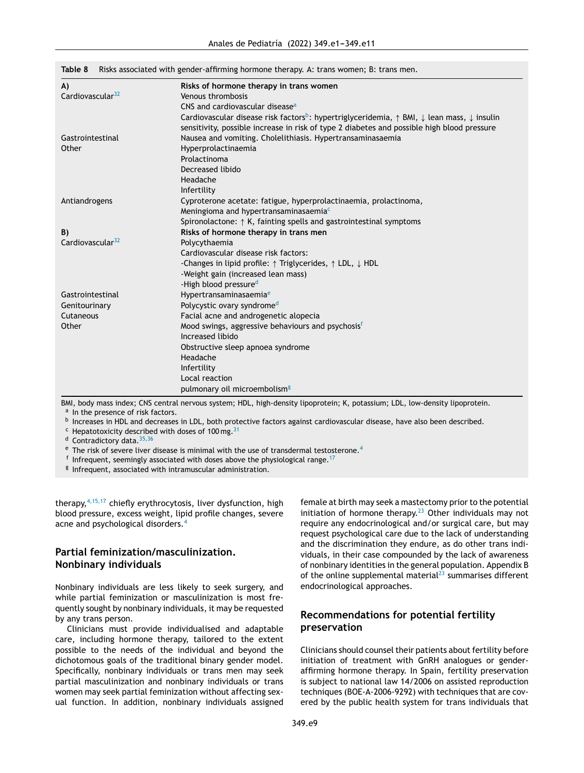| A)                           | Risks of hormone therapy in trans women                                                                                               |  |  |  |
|------------------------------|---------------------------------------------------------------------------------------------------------------------------------------|--|--|--|
| Cardiovascular <sup>32</sup> | Venous thrombosis                                                                                                                     |  |  |  |
|                              | CNS and cardiovascular disease <sup>a</sup>                                                                                           |  |  |  |
|                              | Cardiovascular disease risk factors <sup>b</sup> : hypertriglyceridemia, $\uparrow$ BMI, $\downarrow$ lean mass, $\downarrow$ insulin |  |  |  |
|                              | sensitivity, possible increase in risk of type 2 diabetes and possible high blood pressure                                            |  |  |  |
| Gastrointestinal             | Nausea and vomiting. Cholelithiasis. Hypertransaminasaemia                                                                            |  |  |  |
| Other                        | Hyperprolactinaemia                                                                                                                   |  |  |  |
|                              | Prolactinoma                                                                                                                          |  |  |  |
|                              | Decreased libido                                                                                                                      |  |  |  |
|                              | Headache                                                                                                                              |  |  |  |
|                              | Infertility                                                                                                                           |  |  |  |
| Antiandrogens                | Cyproterone acetate: fatigue, hyperprolactinaemia, prolactinoma,                                                                      |  |  |  |
|                              | Meningioma and hypertransaminasaemia <sup>c</sup>                                                                                     |  |  |  |
|                              | Spironolactone: $\uparrow$ K, fainting spells and gastrointestinal symptoms                                                           |  |  |  |
| B)                           | Risks of hormone therapy in trans men                                                                                                 |  |  |  |
| Cardiovascular <sup>32</sup> | Polycythaemia                                                                                                                         |  |  |  |
|                              | Cardiovascular disease risk factors:                                                                                                  |  |  |  |
|                              | -Changes in lipid profile: $\uparrow$ Triglycerides, $\uparrow$ LDL, $\downarrow$ HDL                                                 |  |  |  |
|                              | -Weight gain (increased lean mass)                                                                                                    |  |  |  |
|                              | -High blood pressured                                                                                                                 |  |  |  |
| Gastrointestinal             | Hypertransaminasaemia <sup>e</sup>                                                                                                    |  |  |  |
| Genitourinary                | Polycystic ovary syndrome <sup>d</sup>                                                                                                |  |  |  |
| Cutaneous                    | Facial acne and androgenetic alopecia                                                                                                 |  |  |  |
| Other                        | Mood swings, aggressive behaviours and psychosisf                                                                                     |  |  |  |
|                              | Increased libido                                                                                                                      |  |  |  |
|                              | Obstructive sleep apnoea syndrome                                                                                                     |  |  |  |
|                              | Headache                                                                                                                              |  |  |  |
|                              | Infertility                                                                                                                           |  |  |  |
|                              | Local reaction                                                                                                                        |  |  |  |
|                              | pulmonary oil microembolism <sup>g</sup>                                                                                              |  |  |  |

<span id="page-8-0"></span>**Table 8** Risks associated with gender-affirming hormone therapy. A: trans women; B: trans men.

BMI, body mass index; CNS central nervous system; HDL, high-density lipoprotein; K, potassium; LDL, low-density lipoprotein. <sup>a</sup> In the presence of risk factors.

b Increases in HDL and decreases in LDL, both protective factors against cardiovascular disease, have also been described.

 $c$  Hepatotoxicity described with doses of 100 mg.<sup>[31](#page-10-0)</sup>

d Contradictory data. [35,36](#page-10-0)

 $e$  The risk of severe liver disease is minimal with the use of transdermal testosterone.<sup>[4](#page-9-0)</sup>

 $^{\mathsf{f}}$  Infrequent, seemingly associated with doses above the physiological range.  $^{17}$  $^{17}$  $^{17}$ 

<sup>g</sup> Infrequent, associated with intramuscular administration.

therapy,  $4,15,17$  chiefly erythrocytosis, liver dysfunction, high blood pressure, excess weight, lipid profile changes, severe acne and psychological disorders.<sup>[4](#page-9-0)</sup>

# **Partial feminization/masculinization. Nonbinary individuals**

Nonbinary individuals are less likely to seek surgery, and while partial feminization or masculinization is most frequently sought by nonbinary individuals, it may be requested by any trans person.

Clinicians must provide individualised and adaptable care, including hormone therapy, tailored to the extent possible to the needs of the individual and beyond the dichotomous goals of the traditional binary gender model. Specifically, nonbinary individuals or trans men may seek partial masculinization and nonbinary individuals or trans women may seek partial feminization without affecting sexual function. In addition, nonbinary individuals assigned

female at birth may seek a mastectomy prior to the potential initiation of hormone therapy.<sup>[23](#page-10-0)</sup> Other individuals may not require any endocrinological and/or surgical care, but may request psychological care due to the lack of understanding and the discrimination they endure, as do other trans individuals, in their case compounded by the lack of awareness of nonbinary identities in the general population. Appendix B of the online supplemental material<sup>[23](#page-10-0)</sup> summarises different endocrinological approaches.

# **Recommendations for potential fertility preservation**

Clinicians should counsel their patients about fertility before initiation of treatment with GnRH analogues or genderaffirming hormone therapy. In Spain, fertility preservation is subject to national law 14/2006 on assisted reproduction techniques (BOE-A-2006-9292) with techniques that are covered by the public health system for trans individuals that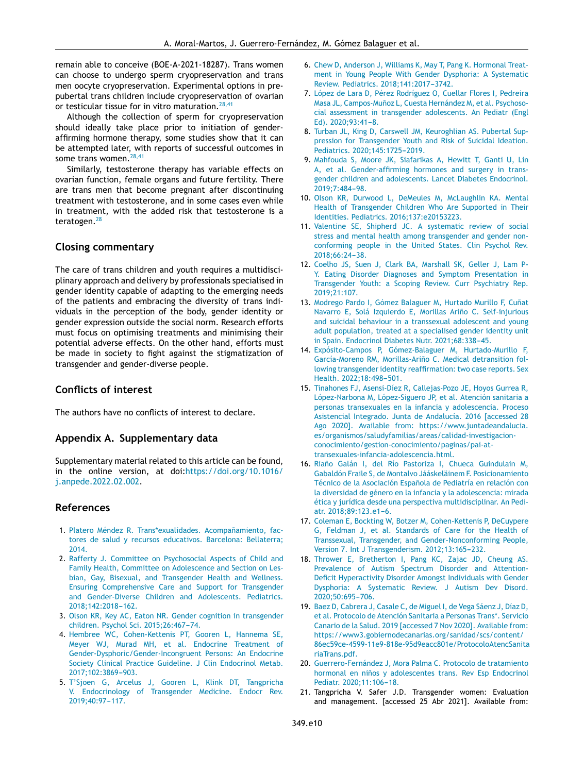<span id="page-9-0"></span>remain able to conceive (BOE-A-2021-18287). Trans women can choose to undergo sperm cryopreservation and trans men oocyte cryopreservation. Experimental options in prepubertal trans children include cryopreservation of ovarian or testicular tissue for in vitro maturation.  $28,41$ 

Although the collection of sperm for cryopreservation should ideally take place prior to initiation of genderaffirming hormone therapy, some studies show that it can be attempted later, with reports of successful outcomes in some trans women.<sup>[28,41](#page-10-0)</sup>

Similarly, testosterone therapy has variable effects on ovarian function, female organs and future fertility. There are trans men that become pregnant after discontinuing treatment with testosterone, and in some cases even while in treatment, with the added risk that testosterone is a teratogen.<sup>[28](#page-10-0)</sup>

# **Closing commentary**

The care of trans children and youth requires a multidisciplinary approach and delivery by professionals specialised in gender identity capable of adapting to the emerging needs of the patients and embracing the diversity of trans individuals in the perception of the body, gender identity or gender expression outside the social norm. Research efforts must focus on optimising treatments and minimising their potential adverse effects. On the other hand, efforts must be made in society to fight against the stigmatization of transgender and gender-diverse people.

# **Conflicts of interest**

The authors have no conflicts of interest to declare.

## **Appendix A. Supplementary data**

Supplementary material related to this article can be found, in the online version, at doi[:https://doi.org/10.1016/](https://doi.org/10.1016/j.anpede.2022.02.002) [j.anpede.2022.02.002.](https://doi.org/10.1016/j.anpede.2022.02.002)

## **References**

- 1. [Platero](http://refhub.elsevier.com/S2341-2879(22)00078-3/sbref0005) [Méndez](http://refhub.elsevier.com/S2341-2879(22)00078-3/sbref0005) [R.](http://refhub.elsevier.com/S2341-2879(22)00078-3/sbref0005) [Trans\\*exualidades.](http://refhub.elsevier.com/S2341-2879(22)00078-3/sbref0005) Acompañamiento, [fac](http://refhub.elsevier.com/S2341-2879(22)00078-3/sbref0005)[tores](http://refhub.elsevier.com/S2341-2879(22)00078-3/sbref0005) [de](http://refhub.elsevier.com/S2341-2879(22)00078-3/sbref0005) [salud](http://refhub.elsevier.com/S2341-2879(22)00078-3/sbref0005) [y](http://refhub.elsevier.com/S2341-2879(22)00078-3/sbref0005) [recursos](http://refhub.elsevier.com/S2341-2879(22)00078-3/sbref0005) [educativos.](http://refhub.elsevier.com/S2341-2879(22)00078-3/sbref0005) [Barcelona:](http://refhub.elsevier.com/S2341-2879(22)00078-3/sbref0005) [Bellaterra;](http://refhub.elsevier.com/S2341-2879(22)00078-3/sbref0005) [2014.](http://refhub.elsevier.com/S2341-2879(22)00078-3/sbref0005)
- 2. [Rafferty](http://refhub.elsevier.com/S2341-2879(22)00078-3/sbref0010) [J.](http://refhub.elsevier.com/S2341-2879(22)00078-3/sbref0010) [Committee](http://refhub.elsevier.com/S2341-2879(22)00078-3/sbref0010) [on](http://refhub.elsevier.com/S2341-2879(22)00078-3/sbref0010) [Psychosocial](http://refhub.elsevier.com/S2341-2879(22)00078-3/sbref0010) [Aspects](http://refhub.elsevier.com/S2341-2879(22)00078-3/sbref0010) [of](http://refhub.elsevier.com/S2341-2879(22)00078-3/sbref0010) [Child](http://refhub.elsevier.com/S2341-2879(22)00078-3/sbref0010) [and](http://refhub.elsevier.com/S2341-2879(22)00078-3/sbref0010) [Family](http://refhub.elsevier.com/S2341-2879(22)00078-3/sbref0010) [Health,](http://refhub.elsevier.com/S2341-2879(22)00078-3/sbref0010) [Committee](http://refhub.elsevier.com/S2341-2879(22)00078-3/sbref0010) [on](http://refhub.elsevier.com/S2341-2879(22)00078-3/sbref0010) [Adolescence](http://refhub.elsevier.com/S2341-2879(22)00078-3/sbref0010) [and](http://refhub.elsevier.com/S2341-2879(22)00078-3/sbref0010) [Section](http://refhub.elsevier.com/S2341-2879(22)00078-3/sbref0010) [on](http://refhub.elsevier.com/S2341-2879(22)00078-3/sbref0010) [Les](http://refhub.elsevier.com/S2341-2879(22)00078-3/sbref0010)[bian,](http://refhub.elsevier.com/S2341-2879(22)00078-3/sbref0010) [Gay,](http://refhub.elsevier.com/S2341-2879(22)00078-3/sbref0010) [Bisexual,](http://refhub.elsevier.com/S2341-2879(22)00078-3/sbref0010) [and](http://refhub.elsevier.com/S2341-2879(22)00078-3/sbref0010) [Transgender](http://refhub.elsevier.com/S2341-2879(22)00078-3/sbref0010) [Health](http://refhub.elsevier.com/S2341-2879(22)00078-3/sbref0010) [and](http://refhub.elsevier.com/S2341-2879(22)00078-3/sbref0010) [Wellness.](http://refhub.elsevier.com/S2341-2879(22)00078-3/sbref0010) [Ensuring](http://refhub.elsevier.com/S2341-2879(22)00078-3/sbref0010) [Comprehensive](http://refhub.elsevier.com/S2341-2879(22)00078-3/sbref0010) [Care](http://refhub.elsevier.com/S2341-2879(22)00078-3/sbref0010) [and](http://refhub.elsevier.com/S2341-2879(22)00078-3/sbref0010) [Support](http://refhub.elsevier.com/S2341-2879(22)00078-3/sbref0010) [for](http://refhub.elsevier.com/S2341-2879(22)00078-3/sbref0010) [Transgender](http://refhub.elsevier.com/S2341-2879(22)00078-3/sbref0010) [and](http://refhub.elsevier.com/S2341-2879(22)00078-3/sbref0010) [Gender-Diverse](http://refhub.elsevier.com/S2341-2879(22)00078-3/sbref0010) [Children](http://refhub.elsevier.com/S2341-2879(22)00078-3/sbref0010) [and](http://refhub.elsevier.com/S2341-2879(22)00078-3/sbref0010) [Adolescents.](http://refhub.elsevier.com/S2341-2879(22)00078-3/sbref0010) [Pediatrics.](http://refhub.elsevier.com/S2341-2879(22)00078-3/sbref0010) 2018:142:2018-[162.](http://refhub.elsevier.com/S2341-2879(22)00078-3/sbref0010)
- 3. [Olson](http://refhub.elsevier.com/S2341-2879(22)00078-3/sbref0015) [KR,](http://refhub.elsevier.com/S2341-2879(22)00078-3/sbref0015) [Key](http://refhub.elsevier.com/S2341-2879(22)00078-3/sbref0015) [AC,](http://refhub.elsevier.com/S2341-2879(22)00078-3/sbref0015) [Eaton](http://refhub.elsevier.com/S2341-2879(22)00078-3/sbref0015) [NR.](http://refhub.elsevier.com/S2341-2879(22)00078-3/sbref0015) [Gender](http://refhub.elsevier.com/S2341-2879(22)00078-3/sbref0015) [cognition](http://refhub.elsevier.com/S2341-2879(22)00078-3/sbref0015) [in](http://refhub.elsevier.com/S2341-2879(22)00078-3/sbref0015) [transgender](http://refhub.elsevier.com/S2341-2879(22)00078-3/sbref0015) [children.](http://refhub.elsevier.com/S2341-2879(22)00078-3/sbref0015) [Psychol](http://refhub.elsevier.com/S2341-2879(22)00078-3/sbref0015) [Sci.](http://refhub.elsevier.com/S2341-2879(22)00078-3/sbref0015) [2015;26:467](http://refhub.elsevier.com/S2341-2879(22)00078-3/sbref0015)-[74.](http://refhub.elsevier.com/S2341-2879(22)00078-3/sbref0015)
- 4. [Hembree](http://refhub.elsevier.com/S2341-2879(22)00078-3/sbref0020) [WC,](http://refhub.elsevier.com/S2341-2879(22)00078-3/sbref0020) [Cohen-Kettenis](http://refhub.elsevier.com/S2341-2879(22)00078-3/sbref0020) [PT,](http://refhub.elsevier.com/S2341-2879(22)00078-3/sbref0020) [Gooren](http://refhub.elsevier.com/S2341-2879(22)00078-3/sbref0020) [L,](http://refhub.elsevier.com/S2341-2879(22)00078-3/sbref0020) [Hannema](http://refhub.elsevier.com/S2341-2879(22)00078-3/sbref0020) [SE,](http://refhub.elsevier.com/S2341-2879(22)00078-3/sbref0020) [Meyer](http://refhub.elsevier.com/S2341-2879(22)00078-3/sbref0020) [WJ,](http://refhub.elsevier.com/S2341-2879(22)00078-3/sbref0020) [Murad](http://refhub.elsevier.com/S2341-2879(22)00078-3/sbref0020) [MH,](http://refhub.elsevier.com/S2341-2879(22)00078-3/sbref0020) [et](http://refhub.elsevier.com/S2341-2879(22)00078-3/sbref0020) [al.](http://refhub.elsevier.com/S2341-2879(22)00078-3/sbref0020) [Endocrine](http://refhub.elsevier.com/S2341-2879(22)00078-3/sbref0020) [Treatment](http://refhub.elsevier.com/S2341-2879(22)00078-3/sbref0020) [of](http://refhub.elsevier.com/S2341-2879(22)00078-3/sbref0020) [Gender-Dysphoric/Gender-Incongruent](http://refhub.elsevier.com/S2341-2879(22)00078-3/sbref0020) [Persons:](http://refhub.elsevier.com/S2341-2879(22)00078-3/sbref0020) [An](http://refhub.elsevier.com/S2341-2879(22)00078-3/sbref0020) [Endocrine](http://refhub.elsevier.com/S2341-2879(22)00078-3/sbref0020) [Society](http://refhub.elsevier.com/S2341-2879(22)00078-3/sbref0020) [Clinical](http://refhub.elsevier.com/S2341-2879(22)00078-3/sbref0020) [Practice](http://refhub.elsevier.com/S2341-2879(22)00078-3/sbref0020) [Guideline.](http://refhub.elsevier.com/S2341-2879(22)00078-3/sbref0020) [J](http://refhub.elsevier.com/S2341-2879(22)00078-3/sbref0020) [Clin](http://refhub.elsevier.com/S2341-2879(22)00078-3/sbref0020) [Endocrinol](http://refhub.elsevier.com/S2341-2879(22)00078-3/sbref0020) [Metab.](http://refhub.elsevier.com/S2341-2879(22)00078-3/sbref0020) [2017;102:3869](http://refhub.elsevier.com/S2341-2879(22)00078-3/sbref0020)-[903.](http://refhub.elsevier.com/S2341-2879(22)00078-3/sbref0020)
- 5. [T'Sjoen](http://refhub.elsevier.com/S2341-2879(22)00078-3/sbref0025) [G,](http://refhub.elsevier.com/S2341-2879(22)00078-3/sbref0025) [Arcelus](http://refhub.elsevier.com/S2341-2879(22)00078-3/sbref0025) [J,](http://refhub.elsevier.com/S2341-2879(22)00078-3/sbref0025) [Gooren](http://refhub.elsevier.com/S2341-2879(22)00078-3/sbref0025) [L,](http://refhub.elsevier.com/S2341-2879(22)00078-3/sbref0025) [Klink](http://refhub.elsevier.com/S2341-2879(22)00078-3/sbref0025) [DT,](http://refhub.elsevier.com/S2341-2879(22)00078-3/sbref0025) [Tangpricha](http://refhub.elsevier.com/S2341-2879(22)00078-3/sbref0025) [V.](http://refhub.elsevier.com/S2341-2879(22)00078-3/sbref0025) [Endocrinology](http://refhub.elsevier.com/S2341-2879(22)00078-3/sbref0025) [of](http://refhub.elsevier.com/S2341-2879(22)00078-3/sbref0025) [Transgender](http://refhub.elsevier.com/S2341-2879(22)00078-3/sbref0025) [Medicine.](http://refhub.elsevier.com/S2341-2879(22)00078-3/sbref0025) [Endocr](http://refhub.elsevier.com/S2341-2879(22)00078-3/sbref0025) [Rev.](http://refhub.elsevier.com/S2341-2879(22)00078-3/sbref0025) 2019;40:97-117.
- 6. [Chew](http://refhub.elsevier.com/S2341-2879(22)00078-3/sbref0030) [D,](http://refhub.elsevier.com/S2341-2879(22)00078-3/sbref0030) [Anderson](http://refhub.elsevier.com/S2341-2879(22)00078-3/sbref0030) [J,](http://refhub.elsevier.com/S2341-2879(22)00078-3/sbref0030) [Williams](http://refhub.elsevier.com/S2341-2879(22)00078-3/sbref0030) [K,](http://refhub.elsevier.com/S2341-2879(22)00078-3/sbref0030) [May](http://refhub.elsevier.com/S2341-2879(22)00078-3/sbref0030) [T,](http://refhub.elsevier.com/S2341-2879(22)00078-3/sbref0030) [Pang](http://refhub.elsevier.com/S2341-2879(22)00078-3/sbref0030) [K.](http://refhub.elsevier.com/S2341-2879(22)00078-3/sbref0030) [Hormonal](http://refhub.elsevier.com/S2341-2879(22)00078-3/sbref0030) [Treat](http://refhub.elsevier.com/S2341-2879(22)00078-3/sbref0030)[ment](http://refhub.elsevier.com/S2341-2879(22)00078-3/sbref0030) [in](http://refhub.elsevier.com/S2341-2879(22)00078-3/sbref0030) [Young](http://refhub.elsevier.com/S2341-2879(22)00078-3/sbref0030) [People](http://refhub.elsevier.com/S2341-2879(22)00078-3/sbref0030) [With](http://refhub.elsevier.com/S2341-2879(22)00078-3/sbref0030) [Gender](http://refhub.elsevier.com/S2341-2879(22)00078-3/sbref0030) [Dysphoria:](http://refhub.elsevier.com/S2341-2879(22)00078-3/sbref0030) [A](http://refhub.elsevier.com/S2341-2879(22)00078-3/sbref0030) [Systematic](http://refhub.elsevier.com/S2341-2879(22)00078-3/sbref0030) [Review.](http://refhub.elsevier.com/S2341-2879(22)00078-3/sbref0030) [Pediatrics.](http://refhub.elsevier.com/S2341-2879(22)00078-3/sbref0030) 2018;141:2017-3742.
- 7. [López](http://refhub.elsevier.com/S2341-2879(22)00078-3/sbref0035) [de](http://refhub.elsevier.com/S2341-2879(22)00078-3/sbref0035) [Lara](http://refhub.elsevier.com/S2341-2879(22)00078-3/sbref0035) [D,](http://refhub.elsevier.com/S2341-2879(22)00078-3/sbref0035) [Pérez](http://refhub.elsevier.com/S2341-2879(22)00078-3/sbref0035) [Rodríguez](http://refhub.elsevier.com/S2341-2879(22)00078-3/sbref0035) [O,](http://refhub.elsevier.com/S2341-2879(22)00078-3/sbref0035) [Cuellar](http://refhub.elsevier.com/S2341-2879(22)00078-3/sbref0035) [Flores](http://refhub.elsevier.com/S2341-2879(22)00078-3/sbref0035) [I,](http://refhub.elsevier.com/S2341-2879(22)00078-3/sbref0035) [Pedreira](http://refhub.elsevier.com/S2341-2879(22)00078-3/sbref0035) [Masa](http://refhub.elsevier.com/S2341-2879(22)00078-3/sbref0035) [JL,](http://refhub.elsevier.com/S2341-2879(22)00078-3/sbref0035) Campos-Muñoz [L,](http://refhub.elsevier.com/S2341-2879(22)00078-3/sbref0035) [Cuesta](http://refhub.elsevier.com/S2341-2879(22)00078-3/sbref0035) [Hernández](http://refhub.elsevier.com/S2341-2879(22)00078-3/sbref0035) [M,](http://refhub.elsevier.com/S2341-2879(22)00078-3/sbref0035) [et](http://refhub.elsevier.com/S2341-2879(22)00078-3/sbref0035) [al.](http://refhub.elsevier.com/S2341-2879(22)00078-3/sbref0035) [Psychoso](http://refhub.elsevier.com/S2341-2879(22)00078-3/sbref0035)[cial](http://refhub.elsevier.com/S2341-2879(22)00078-3/sbref0035) [assessment](http://refhub.elsevier.com/S2341-2879(22)00078-3/sbref0035) [in](http://refhub.elsevier.com/S2341-2879(22)00078-3/sbref0035) [transgender](http://refhub.elsevier.com/S2341-2879(22)00078-3/sbref0035) [adolescents.](http://refhub.elsevier.com/S2341-2879(22)00078-3/sbref0035) [An](http://refhub.elsevier.com/S2341-2879(22)00078-3/sbref0035) [Pediatr](http://refhub.elsevier.com/S2341-2879(22)00078-3/sbref0035) [\(Engl](http://refhub.elsevier.com/S2341-2879(22)00078-3/sbref0035) [Ed\).](http://refhub.elsevier.com/S2341-2879(22)00078-3/sbref0035)  $2020;93:41-8$ .
- 8. [Turban](http://refhub.elsevier.com/S2341-2879(22)00078-3/sbref0040) [JL,](http://refhub.elsevier.com/S2341-2879(22)00078-3/sbref0040) [King](http://refhub.elsevier.com/S2341-2879(22)00078-3/sbref0040) [D,](http://refhub.elsevier.com/S2341-2879(22)00078-3/sbref0040) [Carswell](http://refhub.elsevier.com/S2341-2879(22)00078-3/sbref0040) [JM,](http://refhub.elsevier.com/S2341-2879(22)00078-3/sbref0040) [Keuroghlian](http://refhub.elsevier.com/S2341-2879(22)00078-3/sbref0040) [AS.](http://refhub.elsevier.com/S2341-2879(22)00078-3/sbref0040) [Pubertal](http://refhub.elsevier.com/S2341-2879(22)00078-3/sbref0040) [Sup](http://refhub.elsevier.com/S2341-2879(22)00078-3/sbref0040)[pression](http://refhub.elsevier.com/S2341-2879(22)00078-3/sbref0040) [for](http://refhub.elsevier.com/S2341-2879(22)00078-3/sbref0040) [Transgender](http://refhub.elsevier.com/S2341-2879(22)00078-3/sbref0040) [Youth](http://refhub.elsevier.com/S2341-2879(22)00078-3/sbref0040) [and](http://refhub.elsevier.com/S2341-2879(22)00078-3/sbref0040) [Risk](http://refhub.elsevier.com/S2341-2879(22)00078-3/sbref0040) [of](http://refhub.elsevier.com/S2341-2879(22)00078-3/sbref0040) [Suicidal](http://refhub.elsevier.com/S2341-2879(22)00078-3/sbref0040) [Ideation.](http://refhub.elsevier.com/S2341-2879(22)00078-3/sbref0040)  $Pediatrics. 2020:145:1725-2019.$  $Pediatrics. 2020:145:1725-2019.$
- 9. [Mahfouda](http://refhub.elsevier.com/S2341-2879(22)00078-3/sbref0045) [S,](http://refhub.elsevier.com/S2341-2879(22)00078-3/sbref0045) [Moore](http://refhub.elsevier.com/S2341-2879(22)00078-3/sbref0045) [JK,](http://refhub.elsevier.com/S2341-2879(22)00078-3/sbref0045) [Siafarikas](http://refhub.elsevier.com/S2341-2879(22)00078-3/sbref0045) [A,](http://refhub.elsevier.com/S2341-2879(22)00078-3/sbref0045) [Hewitt](http://refhub.elsevier.com/S2341-2879(22)00078-3/sbref0045) [T,](http://refhub.elsevier.com/S2341-2879(22)00078-3/sbref0045) [Ganti](http://refhub.elsevier.com/S2341-2879(22)00078-3/sbref0045) [U,](http://refhub.elsevier.com/S2341-2879(22)00078-3/sbref0045) [Lin](http://refhub.elsevier.com/S2341-2879(22)00078-3/sbref0045) [A,](http://refhub.elsevier.com/S2341-2879(22)00078-3/sbref0045) [et](http://refhub.elsevier.com/S2341-2879(22)00078-3/sbref0045) [al.](http://refhub.elsevier.com/S2341-2879(22)00078-3/sbref0045) [Gender-affirming](http://refhub.elsevier.com/S2341-2879(22)00078-3/sbref0045) [hormones](http://refhub.elsevier.com/S2341-2879(22)00078-3/sbref0045) [and](http://refhub.elsevier.com/S2341-2879(22)00078-3/sbref0045) [surgery](http://refhub.elsevier.com/S2341-2879(22)00078-3/sbref0045) [in](http://refhub.elsevier.com/S2341-2879(22)00078-3/sbref0045) [trans](http://refhub.elsevier.com/S2341-2879(22)00078-3/sbref0045)[gender](http://refhub.elsevier.com/S2341-2879(22)00078-3/sbref0045) [children](http://refhub.elsevier.com/S2341-2879(22)00078-3/sbref0045) [and](http://refhub.elsevier.com/S2341-2879(22)00078-3/sbref0045) [adolescents.](http://refhub.elsevier.com/S2341-2879(22)00078-3/sbref0045) [Lancet](http://refhub.elsevier.com/S2341-2879(22)00078-3/sbref0045) [Diabetes](http://refhub.elsevier.com/S2341-2879(22)00078-3/sbref0045) [Endocrinol.](http://refhub.elsevier.com/S2341-2879(22)00078-3/sbref0045) 2019:7:484[-98.](http://refhub.elsevier.com/S2341-2879(22)00078-3/sbref0045)
- 10. [Olson](http://refhub.elsevier.com/S2341-2879(22)00078-3/sbref0050) [KR,](http://refhub.elsevier.com/S2341-2879(22)00078-3/sbref0050) [Durwood](http://refhub.elsevier.com/S2341-2879(22)00078-3/sbref0050) [L,](http://refhub.elsevier.com/S2341-2879(22)00078-3/sbref0050) [DeMeules](http://refhub.elsevier.com/S2341-2879(22)00078-3/sbref0050) [M,](http://refhub.elsevier.com/S2341-2879(22)00078-3/sbref0050) [McLaughlin](http://refhub.elsevier.com/S2341-2879(22)00078-3/sbref0050) [KA.](http://refhub.elsevier.com/S2341-2879(22)00078-3/sbref0050) [Mental](http://refhub.elsevier.com/S2341-2879(22)00078-3/sbref0050) [Health](http://refhub.elsevier.com/S2341-2879(22)00078-3/sbref0050) [of](http://refhub.elsevier.com/S2341-2879(22)00078-3/sbref0050) [Transgender](http://refhub.elsevier.com/S2341-2879(22)00078-3/sbref0050) [Children](http://refhub.elsevier.com/S2341-2879(22)00078-3/sbref0050) [Who](http://refhub.elsevier.com/S2341-2879(22)00078-3/sbref0050) [Are](http://refhub.elsevier.com/S2341-2879(22)00078-3/sbref0050) [Supported](http://refhub.elsevier.com/S2341-2879(22)00078-3/sbref0050) [in](http://refhub.elsevier.com/S2341-2879(22)00078-3/sbref0050) [Their](http://refhub.elsevier.com/S2341-2879(22)00078-3/sbref0050) [Identities.](http://refhub.elsevier.com/S2341-2879(22)00078-3/sbref0050) [Pediatrics.](http://refhub.elsevier.com/S2341-2879(22)00078-3/sbref0050) [2016;137:e20153223.](http://refhub.elsevier.com/S2341-2879(22)00078-3/sbref0050)
- 11. [Valentine](http://refhub.elsevier.com/S2341-2879(22)00078-3/sbref0055) [SE,](http://refhub.elsevier.com/S2341-2879(22)00078-3/sbref0055) [Shipherd](http://refhub.elsevier.com/S2341-2879(22)00078-3/sbref0055) [JC.](http://refhub.elsevier.com/S2341-2879(22)00078-3/sbref0055) [A](http://refhub.elsevier.com/S2341-2879(22)00078-3/sbref0055) [systematic](http://refhub.elsevier.com/S2341-2879(22)00078-3/sbref0055) [review](http://refhub.elsevier.com/S2341-2879(22)00078-3/sbref0055) [of](http://refhub.elsevier.com/S2341-2879(22)00078-3/sbref0055) [social](http://refhub.elsevier.com/S2341-2879(22)00078-3/sbref0055) [stress](http://refhub.elsevier.com/S2341-2879(22)00078-3/sbref0055) [and](http://refhub.elsevier.com/S2341-2879(22)00078-3/sbref0055) [mental](http://refhub.elsevier.com/S2341-2879(22)00078-3/sbref0055) [health](http://refhub.elsevier.com/S2341-2879(22)00078-3/sbref0055) [among](http://refhub.elsevier.com/S2341-2879(22)00078-3/sbref0055) [transgender](http://refhub.elsevier.com/S2341-2879(22)00078-3/sbref0055) [and](http://refhub.elsevier.com/S2341-2879(22)00078-3/sbref0055) [gender](http://refhub.elsevier.com/S2341-2879(22)00078-3/sbref0055) [non](http://refhub.elsevier.com/S2341-2879(22)00078-3/sbref0055)[conforming](http://refhub.elsevier.com/S2341-2879(22)00078-3/sbref0055) [people](http://refhub.elsevier.com/S2341-2879(22)00078-3/sbref0055) [in](http://refhub.elsevier.com/S2341-2879(22)00078-3/sbref0055) [the](http://refhub.elsevier.com/S2341-2879(22)00078-3/sbref0055) [United](http://refhub.elsevier.com/S2341-2879(22)00078-3/sbref0055) [States.](http://refhub.elsevier.com/S2341-2879(22)00078-3/sbref0055) [Clin](http://refhub.elsevier.com/S2341-2879(22)00078-3/sbref0055) [Psychol](http://refhub.elsevier.com/S2341-2879(22)00078-3/sbref0055) [Rev.](http://refhub.elsevier.com/S2341-2879(22)00078-3/sbref0055) 2018;66:24-38.
- 12. [Coelho](http://refhub.elsevier.com/S2341-2879(22)00078-3/sbref0060) [JS,](http://refhub.elsevier.com/S2341-2879(22)00078-3/sbref0060) [Suen](http://refhub.elsevier.com/S2341-2879(22)00078-3/sbref0060) [J,](http://refhub.elsevier.com/S2341-2879(22)00078-3/sbref0060) [Clark](http://refhub.elsevier.com/S2341-2879(22)00078-3/sbref0060) [BA,](http://refhub.elsevier.com/S2341-2879(22)00078-3/sbref0060) [Marshall](http://refhub.elsevier.com/S2341-2879(22)00078-3/sbref0060) [SK,](http://refhub.elsevier.com/S2341-2879(22)00078-3/sbref0060) [Geller](http://refhub.elsevier.com/S2341-2879(22)00078-3/sbref0060) [J,](http://refhub.elsevier.com/S2341-2879(22)00078-3/sbref0060) [Lam](http://refhub.elsevier.com/S2341-2879(22)00078-3/sbref0060) [P-](http://refhub.elsevier.com/S2341-2879(22)00078-3/sbref0060)[Y.](http://refhub.elsevier.com/S2341-2879(22)00078-3/sbref0060) [Eating](http://refhub.elsevier.com/S2341-2879(22)00078-3/sbref0060) [Disorder](http://refhub.elsevier.com/S2341-2879(22)00078-3/sbref0060) [Diagnoses](http://refhub.elsevier.com/S2341-2879(22)00078-3/sbref0060) [and](http://refhub.elsevier.com/S2341-2879(22)00078-3/sbref0060) [Symptom](http://refhub.elsevier.com/S2341-2879(22)00078-3/sbref0060) [Presentation](http://refhub.elsevier.com/S2341-2879(22)00078-3/sbref0060) [in](http://refhub.elsevier.com/S2341-2879(22)00078-3/sbref0060) [Transgender](http://refhub.elsevier.com/S2341-2879(22)00078-3/sbref0060) [Youth:](http://refhub.elsevier.com/S2341-2879(22)00078-3/sbref0060) [a](http://refhub.elsevier.com/S2341-2879(22)00078-3/sbref0060) [Scoping](http://refhub.elsevier.com/S2341-2879(22)00078-3/sbref0060) [Review.](http://refhub.elsevier.com/S2341-2879(22)00078-3/sbref0060) [Curr](http://refhub.elsevier.com/S2341-2879(22)00078-3/sbref0060) [Psychiatry](http://refhub.elsevier.com/S2341-2879(22)00078-3/sbref0060) [Rep.](http://refhub.elsevier.com/S2341-2879(22)00078-3/sbref0060) [2019;21:107.](http://refhub.elsevier.com/S2341-2879(22)00078-3/sbref0060)
- 13. [Modrego](http://refhub.elsevier.com/S2341-2879(22)00078-3/sbref0065) [Pardo](http://refhub.elsevier.com/S2341-2879(22)00078-3/sbref0065) [I,](http://refhub.elsevier.com/S2341-2879(22)00078-3/sbref0065) [Gómez](http://refhub.elsevier.com/S2341-2879(22)00078-3/sbref0065) [Balaguer](http://refhub.elsevier.com/S2341-2879(22)00078-3/sbref0065) [M,](http://refhub.elsevier.com/S2341-2879(22)00078-3/sbref0065) [Hurtado](http://refhub.elsevier.com/S2341-2879(22)00078-3/sbref0065) [Murillo](http://refhub.elsevier.com/S2341-2879(22)00078-3/sbref0065) [F,](http://refhub.elsevier.com/S2341-2879(22)00078-3/sbref0065) Cuñat [Navarro](http://refhub.elsevier.com/S2341-2879(22)00078-3/sbref0065) [E,](http://refhub.elsevier.com/S2341-2879(22)00078-3/sbref0065) [Solá](http://refhub.elsevier.com/S2341-2879(22)00078-3/sbref0065) [Izquierdo](http://refhub.elsevier.com/S2341-2879(22)00078-3/sbref0065) E, [Morillas](http://refhub.elsevier.com/S2341-2879(22)00078-3/sbref0065) Ariño [C.](http://refhub.elsevier.com/S2341-2879(22)00078-3/sbref0065) [Self-injurious](http://refhub.elsevier.com/S2341-2879(22)00078-3/sbref0065) [and](http://refhub.elsevier.com/S2341-2879(22)00078-3/sbref0065) [suicidal](http://refhub.elsevier.com/S2341-2879(22)00078-3/sbref0065) [behaviour](http://refhub.elsevier.com/S2341-2879(22)00078-3/sbref0065) [in](http://refhub.elsevier.com/S2341-2879(22)00078-3/sbref0065) [a](http://refhub.elsevier.com/S2341-2879(22)00078-3/sbref0065) [transsexual](http://refhub.elsevier.com/S2341-2879(22)00078-3/sbref0065) [adolescent](http://refhub.elsevier.com/S2341-2879(22)00078-3/sbref0065) [and](http://refhub.elsevier.com/S2341-2879(22)00078-3/sbref0065) [young](http://refhub.elsevier.com/S2341-2879(22)00078-3/sbref0065) [adult](http://refhub.elsevier.com/S2341-2879(22)00078-3/sbref0065) [population,](http://refhub.elsevier.com/S2341-2879(22)00078-3/sbref0065) [treated](http://refhub.elsevier.com/S2341-2879(22)00078-3/sbref0065) [at](http://refhub.elsevier.com/S2341-2879(22)00078-3/sbref0065) [a](http://refhub.elsevier.com/S2341-2879(22)00078-3/sbref0065) [specialised](http://refhub.elsevier.com/S2341-2879(22)00078-3/sbref0065) [gender](http://refhub.elsevier.com/S2341-2879(22)00078-3/sbref0065) [identity](http://refhub.elsevier.com/S2341-2879(22)00078-3/sbref0065) [unit](http://refhub.elsevier.com/S2341-2879(22)00078-3/sbref0065) [in](http://refhub.elsevier.com/S2341-2879(22)00078-3/sbref0065) [Spain.](http://refhub.elsevier.com/S2341-2879(22)00078-3/sbref0065) [Endocrinol](http://refhub.elsevier.com/S2341-2879(22)00078-3/sbref0065) [Diabetes](http://refhub.elsevier.com/S2341-2879(22)00078-3/sbref0065) [Nutr.](http://refhub.elsevier.com/S2341-2879(22)00078-3/sbref0065) 2021;68:338-45.
- 14. [Expósito-Campos](http://refhub.elsevier.com/S2341-2879(22)00078-3/sbref0070) [P,](http://refhub.elsevier.com/S2341-2879(22)00078-3/sbref0070) [Gómez-Balaguer](http://refhub.elsevier.com/S2341-2879(22)00078-3/sbref0070) [M,](http://refhub.elsevier.com/S2341-2879(22)00078-3/sbref0070) [Hurtado-Murillo](http://refhub.elsevier.com/S2341-2879(22)00078-3/sbref0070) [F,](http://refhub.elsevier.com/S2341-2879(22)00078-3/sbref0070) [García-Moreno](http://refhub.elsevier.com/S2341-2879(22)00078-3/sbref0070) [RM,](http://refhub.elsevier.com/S2341-2879(22)00078-3/sbref0070) Morillas-Ariño [C.](http://refhub.elsevier.com/S2341-2879(22)00078-3/sbref0070) [Medical](http://refhub.elsevier.com/S2341-2879(22)00078-3/sbref0070) [detransition](http://refhub.elsevier.com/S2341-2879(22)00078-3/sbref0070) [fol](http://refhub.elsevier.com/S2341-2879(22)00078-3/sbref0070)[lowing](http://refhub.elsevier.com/S2341-2879(22)00078-3/sbref0070) [transgender](http://refhub.elsevier.com/S2341-2879(22)00078-3/sbref0070) [identity](http://refhub.elsevier.com/S2341-2879(22)00078-3/sbref0070) [reaffirmation:](http://refhub.elsevier.com/S2341-2879(22)00078-3/sbref0070) [two](http://refhub.elsevier.com/S2341-2879(22)00078-3/sbref0070) [case](http://refhub.elsevier.com/S2341-2879(22)00078-3/sbref0070) [reports.](http://refhub.elsevier.com/S2341-2879(22)00078-3/sbref0070) [Sex](http://refhub.elsevier.com/S2341-2879(22)00078-3/sbref0070) [Health.](http://refhub.elsevier.com/S2341-2879(22)00078-3/sbref0070) 2022;18:498-501.
- 15. [Tinahones](http://refhub.elsevier.com/S2341-2879(22)00078-3/sbref0075) [FJ,](http://refhub.elsevier.com/S2341-2879(22)00078-3/sbref0075) [Asensi-Díez](http://refhub.elsevier.com/S2341-2879(22)00078-3/sbref0075) [R,](http://refhub.elsevier.com/S2341-2879(22)00078-3/sbref0075) [Callejas-Pozo](http://refhub.elsevier.com/S2341-2879(22)00078-3/sbref0075) [JE,](http://refhub.elsevier.com/S2341-2879(22)00078-3/sbref0075) [Hoyos](http://refhub.elsevier.com/S2341-2879(22)00078-3/sbref0075) [Gurrea](http://refhub.elsevier.com/S2341-2879(22)00078-3/sbref0075) [R,](http://refhub.elsevier.com/S2341-2879(22)00078-3/sbref0075) [López-Narbona](http://refhub.elsevier.com/S2341-2879(22)00078-3/sbref0075) [M,](http://refhub.elsevier.com/S2341-2879(22)00078-3/sbref0075) [López-Siguero](http://refhub.elsevier.com/S2341-2879(22)00078-3/sbref0075) [JP,](http://refhub.elsevier.com/S2341-2879(22)00078-3/sbref0075) [et](http://refhub.elsevier.com/S2341-2879(22)00078-3/sbref0075) [al.](http://refhub.elsevier.com/S2341-2879(22)00078-3/sbref0075) [Atención](http://refhub.elsevier.com/S2341-2879(22)00078-3/sbref0075) [sanitaria](http://refhub.elsevier.com/S2341-2879(22)00078-3/sbref0075) [a](http://refhub.elsevier.com/S2341-2879(22)00078-3/sbref0075) [personas](http://refhub.elsevier.com/S2341-2879(22)00078-3/sbref0075) [transexuales](http://refhub.elsevier.com/S2341-2879(22)00078-3/sbref0075) [en](http://refhub.elsevier.com/S2341-2879(22)00078-3/sbref0075) [la](http://refhub.elsevier.com/S2341-2879(22)00078-3/sbref0075) [infancia](http://refhub.elsevier.com/S2341-2879(22)00078-3/sbref0075) [y](http://refhub.elsevier.com/S2341-2879(22)00078-3/sbref0075) [adolescencia.](http://refhub.elsevier.com/S2341-2879(22)00078-3/sbref0075) [Proceso](http://refhub.elsevier.com/S2341-2879(22)00078-3/sbref0075) [Asistencial](http://refhub.elsevier.com/S2341-2879(22)00078-3/sbref0075) [Integrado.](http://refhub.elsevier.com/S2341-2879(22)00078-3/sbref0075) [Junta](http://refhub.elsevier.com/S2341-2879(22)00078-3/sbref0075) [de](http://refhub.elsevier.com/S2341-2879(22)00078-3/sbref0075) [Andalucía.](http://refhub.elsevier.com/S2341-2879(22)00078-3/sbref0075) [2016](http://refhub.elsevier.com/S2341-2879(22)00078-3/sbref0075) [\[accessed](http://refhub.elsevier.com/S2341-2879(22)00078-3/sbref0075) [28](http://refhub.elsevier.com/S2341-2879(22)00078-3/sbref0075) [Ago](http://refhub.elsevier.com/S2341-2879(22)00078-3/sbref0075) [2020\].](http://refhub.elsevier.com/S2341-2879(22)00078-3/sbref0075) [Available](http://refhub.elsevier.com/S2341-2879(22)00078-3/sbref0075) [from:](http://refhub.elsevier.com/S2341-2879(22)00078-3/sbref0075) [https://www.juntadeandalucia.](http://refhub.elsevier.com/S2341-2879(22)00078-3/sbref0075) [es/organismos/saludyfamilias/areas/calidad-investigacion](http://refhub.elsevier.com/S2341-2879(22)00078-3/sbref0075)[conocimiento/gestion-conocimiento/paginas/pai-at](http://refhub.elsevier.com/S2341-2879(22)00078-3/sbref0075)[transexuales-infancia-adolescencia.html.](http://refhub.elsevier.com/S2341-2879(22)00078-3/sbref0075)
- 16. Riaño [Galán](http://refhub.elsevier.com/S2341-2879(22)00078-3/sbref0080) [I,](http://refhub.elsevier.com/S2341-2879(22)00078-3/sbref0080) [del](http://refhub.elsevier.com/S2341-2879(22)00078-3/sbref0080) [Río](http://refhub.elsevier.com/S2341-2879(22)00078-3/sbref0080) [Pastoriza](http://refhub.elsevier.com/S2341-2879(22)00078-3/sbref0080) I, [Chueca](http://refhub.elsevier.com/S2341-2879(22)00078-3/sbref0080) [Guindulain](http://refhub.elsevier.com/S2341-2879(22)00078-3/sbref0080) [M,](http://refhub.elsevier.com/S2341-2879(22)00078-3/sbref0080) [Gabaldón](http://refhub.elsevier.com/S2341-2879(22)00078-3/sbref0080) [Fraile](http://refhub.elsevier.com/S2341-2879(22)00078-3/sbref0080) [S,](http://refhub.elsevier.com/S2341-2879(22)00078-3/sbref0080) [de](http://refhub.elsevier.com/S2341-2879(22)00078-3/sbref0080) [Montalvo](http://refhub.elsevier.com/S2341-2879(22)00078-3/sbref0080) [Jááskeläinem](http://refhub.elsevier.com/S2341-2879(22)00078-3/sbref0080) [F.](http://refhub.elsevier.com/S2341-2879(22)00078-3/sbref0080) [Posicionamiento](http://refhub.elsevier.com/S2341-2879(22)00078-3/sbref0080) [Técnico](http://refhub.elsevier.com/S2341-2879(22)00078-3/sbref0080) [de](http://refhub.elsevier.com/S2341-2879(22)00078-3/sbref0080) [la](http://refhub.elsevier.com/S2341-2879(22)00078-3/sbref0080) [Asociación](http://refhub.elsevier.com/S2341-2879(22)00078-3/sbref0080) Española de [Pediatría](http://refhub.elsevier.com/S2341-2879(22)00078-3/sbref0080) [en](http://refhub.elsevier.com/S2341-2879(22)00078-3/sbref0080) [relación](http://refhub.elsevier.com/S2341-2879(22)00078-3/sbref0080) [con](http://refhub.elsevier.com/S2341-2879(22)00078-3/sbref0080) [la](http://refhub.elsevier.com/S2341-2879(22)00078-3/sbref0080) [diversidad](http://refhub.elsevier.com/S2341-2879(22)00078-3/sbref0080) [de](http://refhub.elsevier.com/S2341-2879(22)00078-3/sbref0080) [género](http://refhub.elsevier.com/S2341-2879(22)00078-3/sbref0080) [en](http://refhub.elsevier.com/S2341-2879(22)00078-3/sbref0080) [la](http://refhub.elsevier.com/S2341-2879(22)00078-3/sbref0080) [infancia](http://refhub.elsevier.com/S2341-2879(22)00078-3/sbref0080) [y](http://refhub.elsevier.com/S2341-2879(22)00078-3/sbref0080) [la](http://refhub.elsevier.com/S2341-2879(22)00078-3/sbref0080) [adolescencia:](http://refhub.elsevier.com/S2341-2879(22)00078-3/sbref0080) [mirada](http://refhub.elsevier.com/S2341-2879(22)00078-3/sbref0080) [ética](http://refhub.elsevier.com/S2341-2879(22)00078-3/sbref0080) [y](http://refhub.elsevier.com/S2341-2879(22)00078-3/sbref0080) [jurídica](http://refhub.elsevier.com/S2341-2879(22)00078-3/sbref0080) [desde](http://refhub.elsevier.com/S2341-2879(22)00078-3/sbref0080) [una](http://refhub.elsevier.com/S2341-2879(22)00078-3/sbref0080) [perspectiva](http://refhub.elsevier.com/S2341-2879(22)00078-3/sbref0080) [multidisciplinar.](http://refhub.elsevier.com/S2341-2879(22)00078-3/sbref0080) [An](http://refhub.elsevier.com/S2341-2879(22)00078-3/sbref0080) [Pedi](http://refhub.elsevier.com/S2341-2879(22)00078-3/sbref0080)[atr.](http://refhub.elsevier.com/S2341-2879(22)00078-3/sbref0080) 2018:89:123.e1-6.
- 17. [Coleman](http://refhub.elsevier.com/S2341-2879(22)00078-3/sbref0085) [E,](http://refhub.elsevier.com/S2341-2879(22)00078-3/sbref0085) [Bockting](http://refhub.elsevier.com/S2341-2879(22)00078-3/sbref0085) [W,](http://refhub.elsevier.com/S2341-2879(22)00078-3/sbref0085) [Botzer](http://refhub.elsevier.com/S2341-2879(22)00078-3/sbref0085) [M,](http://refhub.elsevier.com/S2341-2879(22)00078-3/sbref0085) [Cohen-Kettenis](http://refhub.elsevier.com/S2341-2879(22)00078-3/sbref0085) [P,](http://refhub.elsevier.com/S2341-2879(22)00078-3/sbref0085) [DeCuypere](http://refhub.elsevier.com/S2341-2879(22)00078-3/sbref0085) [G,](http://refhub.elsevier.com/S2341-2879(22)00078-3/sbref0085) [Feldman](http://refhub.elsevier.com/S2341-2879(22)00078-3/sbref0085) [J,](http://refhub.elsevier.com/S2341-2879(22)00078-3/sbref0085) [et](http://refhub.elsevier.com/S2341-2879(22)00078-3/sbref0085) [al.](http://refhub.elsevier.com/S2341-2879(22)00078-3/sbref0085) [Standards](http://refhub.elsevier.com/S2341-2879(22)00078-3/sbref0085) [of](http://refhub.elsevier.com/S2341-2879(22)00078-3/sbref0085) [Care](http://refhub.elsevier.com/S2341-2879(22)00078-3/sbref0085) [for](http://refhub.elsevier.com/S2341-2879(22)00078-3/sbref0085) [the](http://refhub.elsevier.com/S2341-2879(22)00078-3/sbref0085) [Health](http://refhub.elsevier.com/S2341-2879(22)00078-3/sbref0085) [of](http://refhub.elsevier.com/S2341-2879(22)00078-3/sbref0085) [Transsexual,](http://refhub.elsevier.com/S2341-2879(22)00078-3/sbref0085) [Transgender,](http://refhub.elsevier.com/S2341-2879(22)00078-3/sbref0085) [and](http://refhub.elsevier.com/S2341-2879(22)00078-3/sbref0085) [Gender-Nonconforming](http://refhub.elsevier.com/S2341-2879(22)00078-3/sbref0085) [People,](http://refhub.elsevier.com/S2341-2879(22)00078-3/sbref0085) [Version](http://refhub.elsevier.com/S2341-2879(22)00078-3/sbref0085) [7.](http://refhub.elsevier.com/S2341-2879(22)00078-3/sbref0085) [Int](http://refhub.elsevier.com/S2341-2879(22)00078-3/sbref0085) [J](http://refhub.elsevier.com/S2341-2879(22)00078-3/sbref0085) [Transgenderism.](http://refhub.elsevier.com/S2341-2879(22)00078-3/sbref0085) 2012;13:165-232.
- 18. [Thrower](http://refhub.elsevier.com/S2341-2879(22)00078-3/sbref0090) [E,](http://refhub.elsevier.com/S2341-2879(22)00078-3/sbref0090) [Bretherton](http://refhub.elsevier.com/S2341-2879(22)00078-3/sbref0090) [I,](http://refhub.elsevier.com/S2341-2879(22)00078-3/sbref0090) [Pang](http://refhub.elsevier.com/S2341-2879(22)00078-3/sbref0090) [KC,](http://refhub.elsevier.com/S2341-2879(22)00078-3/sbref0090) [Zajac](http://refhub.elsevier.com/S2341-2879(22)00078-3/sbref0090) [JD,](http://refhub.elsevier.com/S2341-2879(22)00078-3/sbref0090) [Cheung](http://refhub.elsevier.com/S2341-2879(22)00078-3/sbref0090) [AS.](http://refhub.elsevier.com/S2341-2879(22)00078-3/sbref0090) [Prevalence](http://refhub.elsevier.com/S2341-2879(22)00078-3/sbref0090) [of](http://refhub.elsevier.com/S2341-2879(22)00078-3/sbref0090) [Autism](http://refhub.elsevier.com/S2341-2879(22)00078-3/sbref0090) [Spectrum](http://refhub.elsevier.com/S2341-2879(22)00078-3/sbref0090) [Disorder](http://refhub.elsevier.com/S2341-2879(22)00078-3/sbref0090) [and](http://refhub.elsevier.com/S2341-2879(22)00078-3/sbref0090) [Attention-](http://refhub.elsevier.com/S2341-2879(22)00078-3/sbref0090)[Deficit](http://refhub.elsevier.com/S2341-2879(22)00078-3/sbref0090) [Hyperactivity](http://refhub.elsevier.com/S2341-2879(22)00078-3/sbref0090) [Disorder](http://refhub.elsevier.com/S2341-2879(22)00078-3/sbref0090) [Amongst](http://refhub.elsevier.com/S2341-2879(22)00078-3/sbref0090) [Individuals](http://refhub.elsevier.com/S2341-2879(22)00078-3/sbref0090) [with](http://refhub.elsevier.com/S2341-2879(22)00078-3/sbref0090) [Gender](http://refhub.elsevier.com/S2341-2879(22)00078-3/sbref0090) [Dysphoria:](http://refhub.elsevier.com/S2341-2879(22)00078-3/sbref0090) [A](http://refhub.elsevier.com/S2341-2879(22)00078-3/sbref0090) [Systematic](http://refhub.elsevier.com/S2341-2879(22)00078-3/sbref0090) [Review.](http://refhub.elsevier.com/S2341-2879(22)00078-3/sbref0090) [J](http://refhub.elsevier.com/S2341-2879(22)00078-3/sbref0090) [Autism](http://refhub.elsevier.com/S2341-2879(22)00078-3/sbref0090) [Dev](http://refhub.elsevier.com/S2341-2879(22)00078-3/sbref0090) [Disord.](http://refhub.elsevier.com/S2341-2879(22)00078-3/sbref0090) 2020;50:695-706.
- 19. [Baez](http://refhub.elsevier.com/S2341-2879(22)00078-3/sbref0095) [D,](http://refhub.elsevier.com/S2341-2879(22)00078-3/sbref0095) [Cabrera](http://refhub.elsevier.com/S2341-2879(22)00078-3/sbref0095) [J,](http://refhub.elsevier.com/S2341-2879(22)00078-3/sbref0095) [Casale](http://refhub.elsevier.com/S2341-2879(22)00078-3/sbref0095) [C,](http://refhub.elsevier.com/S2341-2879(22)00078-3/sbref0095) [de](http://refhub.elsevier.com/S2341-2879(22)00078-3/sbref0095) [Miguel](http://refhub.elsevier.com/S2341-2879(22)00078-3/sbref0095) [I,](http://refhub.elsevier.com/S2341-2879(22)00078-3/sbref0095) [de](http://refhub.elsevier.com/S2341-2879(22)00078-3/sbref0095) [Vega](http://refhub.elsevier.com/S2341-2879(22)00078-3/sbref0095) [Sáenz](http://refhub.elsevier.com/S2341-2879(22)00078-3/sbref0095) [J,](http://refhub.elsevier.com/S2341-2879(22)00078-3/sbref0095) [Díaz](http://refhub.elsevier.com/S2341-2879(22)00078-3/sbref0095) [D,](http://refhub.elsevier.com/S2341-2879(22)00078-3/sbref0095) [et](http://refhub.elsevier.com/S2341-2879(22)00078-3/sbref0095) [al.](http://refhub.elsevier.com/S2341-2879(22)00078-3/sbref0095) [Protocolo](http://refhub.elsevier.com/S2341-2879(22)00078-3/sbref0095) [de](http://refhub.elsevier.com/S2341-2879(22)00078-3/sbref0095) [Atención](http://refhub.elsevier.com/S2341-2879(22)00078-3/sbref0095) [Sanitaria](http://refhub.elsevier.com/S2341-2879(22)00078-3/sbref0095) [a](http://refhub.elsevier.com/S2341-2879(22)00078-3/sbref0095) [Personas](http://refhub.elsevier.com/S2341-2879(22)00078-3/sbref0095) [Trans\\*.](http://refhub.elsevier.com/S2341-2879(22)00078-3/sbref0095) [Servicio](http://refhub.elsevier.com/S2341-2879(22)00078-3/sbref0095) [Canario](http://refhub.elsevier.com/S2341-2879(22)00078-3/sbref0095) [de](http://refhub.elsevier.com/S2341-2879(22)00078-3/sbref0095) [la](http://refhub.elsevier.com/S2341-2879(22)00078-3/sbref0095) [Salud.](http://refhub.elsevier.com/S2341-2879(22)00078-3/sbref0095) [2019](http://refhub.elsevier.com/S2341-2879(22)00078-3/sbref0095) [\[accessed](http://refhub.elsevier.com/S2341-2879(22)00078-3/sbref0095) [7](http://refhub.elsevier.com/S2341-2879(22)00078-3/sbref0095) [Nov](http://refhub.elsevier.com/S2341-2879(22)00078-3/sbref0095) [2020\].](http://refhub.elsevier.com/S2341-2879(22)00078-3/sbref0095) [Available](http://refhub.elsevier.com/S2341-2879(22)00078-3/sbref0095) [from:](http://refhub.elsevier.com/S2341-2879(22)00078-3/sbref0095) [https://www3.gobiernodecanarias.org/sanidad/scs/content/](http://refhub.elsevier.com/S2341-2879(22)00078-3/sbref0095) [86ec59ce-4599-11e9-818e-95d9eacc801e/ProtocoloAtencSanita](http://refhub.elsevier.com/S2341-2879(22)00078-3/sbref0095) [riaTrans.pdf.](http://refhub.elsevier.com/S2341-2879(22)00078-3/sbref0095)
- 20. [Guerrero-Fernández](http://refhub.elsevier.com/S2341-2879(22)00078-3/sbref0100) [J,](http://refhub.elsevier.com/S2341-2879(22)00078-3/sbref0100) [Mora](http://refhub.elsevier.com/S2341-2879(22)00078-3/sbref0100) [Palma](http://refhub.elsevier.com/S2341-2879(22)00078-3/sbref0100) [C.](http://refhub.elsevier.com/S2341-2879(22)00078-3/sbref0100) [Protocolo](http://refhub.elsevier.com/S2341-2879(22)00078-3/sbref0100) [de](http://refhub.elsevier.com/S2341-2879(22)00078-3/sbref0100) [tratamiento](http://refhub.elsevier.com/S2341-2879(22)00078-3/sbref0100) [hormonal](http://refhub.elsevier.com/S2341-2879(22)00078-3/sbref0100) [en](http://refhub.elsevier.com/S2341-2879(22)00078-3/sbref0100) niños [y](http://refhub.elsevier.com/S2341-2879(22)00078-3/sbref0100) [adolescentes](http://refhub.elsevier.com/S2341-2879(22)00078-3/sbref0100) [trans.](http://refhub.elsevier.com/S2341-2879(22)00078-3/sbref0100) [Rev](http://refhub.elsevier.com/S2341-2879(22)00078-3/sbref0100) [Esp](http://refhub.elsevier.com/S2341-2879(22)00078-3/sbref0100) [Endocrinol](http://refhub.elsevier.com/S2341-2879(22)00078-3/sbref0100) [Pediatr.](http://refhub.elsevier.com/S2341-2879(22)00078-3/sbref0100) [2020;11:106](http://refhub.elsevier.com/S2341-2879(22)00078-3/sbref0100)-[18.](http://refhub.elsevier.com/S2341-2879(22)00078-3/sbref0100)
- 21. Tangpricha V. Safer J.D. Transgender women: Evaluation and management. [accessed 25 Abr 2021]. Available from: